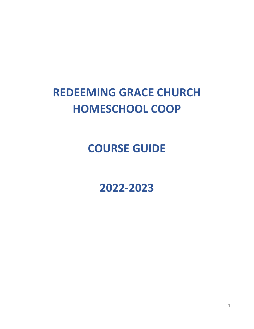# **REDEEMING GRACE CHURCH HOMESCHOOL COOP**

**COURSE GUIDE**

**2022-2023**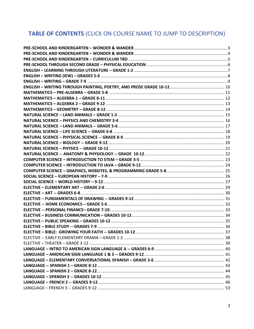# TABLE OF CONTENTS (CLICK ON COURSE NAME TO JUMP TO DESCRIPTION)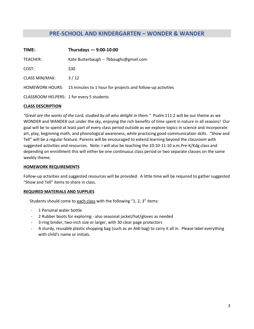# **PRE-SCHOOL AND KINDERGARTEN – WONDER & WANDER**

<span id="page-2-0"></span>

| TIME:                                     | Thursdays $-9:00-10:00$                                                    |
|-------------------------------------------|----------------------------------------------------------------------------|
| TEACHER:                                  | Kate Butterbaugh -- 7bbaughs@gmail.com                                     |
| COST:                                     | \$30                                                                       |
| <b>CLASS MIN/MAX:</b>                     | 3/12                                                                       |
|                                           | HOMEWORK HOURS: 15 minutes to 1 hour for projects and follow-up activities |
| CLASSROOM HELPERS: 1 for every 5 students |                                                                            |

#### **CLASS DESCRIPTION**

*"Great are the works of the Lord, studied by all who delight in them."* Psalm 111:2 will be our theme as we WONDER and WANDER out under the sky, enjoying the rich benefits of time spent in nature in all seasons! Our goal will be to spend at least part of every class period outside as we explore topics in science and incorporate art, play, beginning math, and phonological awareness, while practicing good communication skills. "Show and Tell" will be a regular feature. Parents will be encouraged to extend learning beyond the classroom with suggested activities and resources. Note: I will also be teaching the 10:10-11:10 a.m.Pre-K/Kdg class and depending on enrollment this will either be one continuous class period or two separate classes on the same weekly theme.

#### **HOMEWORK REQUIREMENTS**

Follow-up activities and suggested resources will be provided. A little time will be required to gather suggested "Show and Tell" items to share in class.

#### **REQUIRED MATERIALS AND SUPPLIES**

Students should come to each class with the following "1, 2, 3" items:

- 1 Personal water bottle
- 2 Rubber boots for exploring also seasonal jacket/hat/gloves as needed
- 3-ring binder, two-inch size or larger, with 30 clear page protectors
- A sturdy, reusable plastic shopping bag (such as an Aldi bag) to carry it all in. Please label everything with child's name or initials.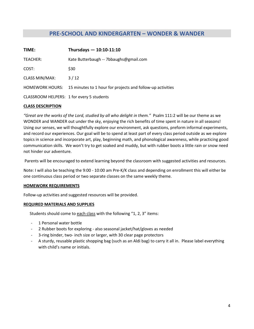# **PRE-SCHOOL AND KINDERGARTEN – WONDER & WANDER**

<span id="page-3-0"></span>

| TIME:                                     | Thursdays $- 10:10 - 11:10$                                                |
|-------------------------------------------|----------------------------------------------------------------------------|
| TEACHER:                                  | Kate Butterbaugh -- 7bbaughs@gmail.com                                     |
| COST:                                     | \$30                                                                       |
| <b>CLASS MIN/MAX:</b>                     | 3/12                                                                       |
|                                           | HOMEWORK HOURS: 15 minutes to 1 hour for projects and follow-up activities |
| CLASSROOM HELPERS: 1 for every 5 students |                                                                            |

#### **CLASS DESCRIPTION**

*"Great are the works of the Lord, studied by all who delight in them."* Psalm 111:2 will be our theme as we WONDER and WANDER out under the sky, enjoying the rich benefits of time spent in nature in all seasons! Using our senses, we will thoughtfully explore our environment, ask questions, preform informal experiments, and record our experiences. Our goal will be to spend at least part of every class period outside as we explore topics in science and incorporate art, play, beginning math, and phonological awareness, while practicing good communication skills. We won't try to get soaked and muddy, but with rubber boots a little rain or snow need not hinder our adventure.

Parents will be encouraged to extend learning beyond the classroom with suggested activities and resources.

Note: I will also be teaching the 9:00 - 10:00 am Pre-K/K class and depending on enrollment this will either be one continuous class period or two separate classes on the same weekly theme.

#### **HOMEWORK REQUIREMENTS**

Follow-up activities and suggested resources will be provided.

#### **REQUIRED MATERIALS AND SUPPLIES**

Students should come to each class with the following "1, 2, 3" items:

- 1 Personal water bottle
- 2 Rubber boots for exploring also seasonal jacket/hat/gloves as needed
- 3-ring binder, two- inch size or larger, with 30 clear page protectors
- A sturdy, reusable plastic shopping bag (such as an Aldi bag) to carry it all in. Please label everything with child's name or initials.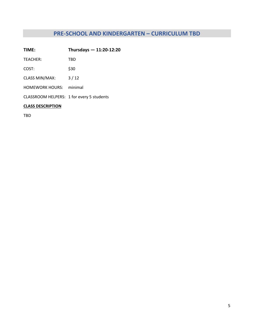# **PRE-SCHOOL AND KINDERGARTEN – CURRICULUM TBD**

<span id="page-4-0"></span>

| TIME:                 | Thursdays $-11:20-12:20$ |
|-----------------------|--------------------------|
| TEACHER:              | TBD                      |
| COST:                 | \$30                     |
| <b>CLASS MIN/MAX:</b> | 3/12                     |
| HOMEWORK HOURS:       | minimal                  |
|                       |                          |

CLASSROOM HELPERS: 1 for every 5 students

# **CLASS DESCRIPTION**

TBD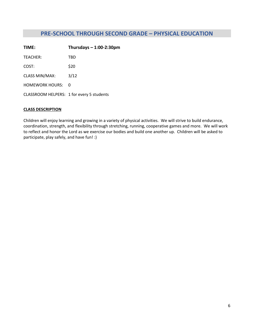# **PRE-SCHOOL THROUGH SECOND GRADE – PHYSICAL EDUCATION**

<span id="page-5-0"></span>**TIME: Thursdays – 1:00-2:30pm**  TEACHER: TBD COST: \$20 CLASS MIN/MAX: 3/12 HOMEWORK HOURS: 0 CLASSROOM HELPERS: 1 for every 5 students

#### **CLASS DESCRIPTION**

Children will enjoy learning and growing in a variety of physical activities. We will strive to build endurance, coordination, strength, and flexibility through stretching, running, cooperative games and more. We will work to reflect and honor the Lord as we exercise our bodies and build one another up. Children will be asked to participate, play safely, and have fun! :)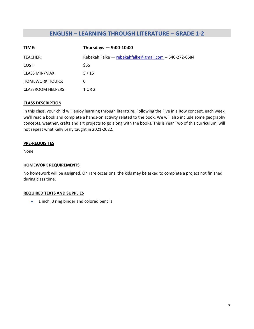# **ENGLISH – LEARNING THROUGH LITERATURE – GRADE 1-2**

<span id="page-6-0"></span>

| TIME:                     | Thursdays $-9:00-10:00$                                |
|---------------------------|--------------------------------------------------------|
| TEACHER:                  | Rebekah Falke — rebekahfalke@gmail.com -- 540-272-6684 |
| COST:                     | \$55                                                   |
| <b>CLASS MIN/MAX:</b>     | 5/15                                                   |
| <b>HOMEWORK HOURS:</b>    | 0                                                      |
| <b>CLASSROOM HELPERS:</b> | 1 OR 2                                                 |

#### **CLASS DESCRIPTION**

In this class, your child will enjoy learning through literature. Following the Five in a Row concept, each week, we'll read a book and complete a hands-on activity related to the book. We will also include some geography concepts, weather, crafts and art projects to go along with the books. This is Year Two of this curriculum, will not repeat what Kelly Lesly taught in 2021-2022.

#### **PRE-REQUISITES**

None

#### **HOMEWORK REQUIREMENTS**

No homework will be assigned. On rare occasions, the kids may be asked to complete a project not finished during class time.

#### **REQUIRED TEXTS AND SUPPLIES**

• 1 inch, 3 ring binder and colored pencils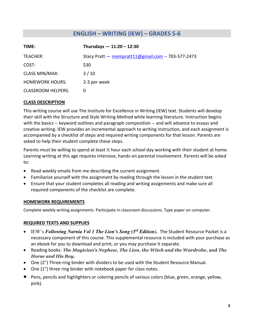# **ENGLISH – WRITING (IEW) – GRADES 5-6**

<span id="page-7-0"></span>

| TIME:                  | Thursdays $-11:20 - 12:30$                            |
|------------------------|-------------------------------------------------------|
| TEACHER:               | Stacy Pratt $-$ mompratt11@gmail.com $-$ 703-577-2473 |
| COST:                  | \$30                                                  |
| <b>CLASS MIN/MAX:</b>  | 3/10                                                  |
| <b>HOMEWORK HOURS:</b> | 2-3 per week                                          |
| CLASSROOM HELPERS:     | 0                                                     |

# **CLASS DESCRIPTION**

This writing course will use The Institute for Excellence in Writing (IEW) text. Students will develop their skill with the Structure and Style Writing Method while learning literature. Instruction begins with the basics -- keyword outlines and paragraph composition -- and will advance to essays and creative writing. IEW provides an incremental approach to writing instruction, and each assignment is accompanied by a checklist of steps and required writing components for that lesson. Parents are asked to help their student complete these steps.

Parents must be willing to spend at least  $\frac{1}{2}$  hour each school day working with their student at home. Learning writing at this age requires intensive, hands-on parental involvement. Parents will be asked to:

- Read weekly emails from me describing the current assignment.
- Familiarize yourself with the assignment by reading through the lesson in the student text.
- Ensure that your student completes all reading and writing assignments and make sure all required components of the checklist are complete.

# **HOMEWORK REQUIREMENTS**

Complete weekly writing assignments. Participate in classroom discussions. Type paper on computer.

- IEW's *Following Narnia Vol 1 The Lion's Song (3rd Edition).* The Student Resource Packet is a necessary component of this course. This supplemental resource is included with your purchase as an ebook for you to download and print, or you may purchase it separate.
- Reading books: *The Magician's Nephew***,** *The Lion, the Witch and the Wardrobe***, and** *The Horse and His Boy***.**
- One (2") Three-ring binder with dividers to be used with the Student Resource Manual.
- One (1") three ring binder with notebook paper for class notes.
- Pens, pencils and highlighters or coloring pencils of various colors (blue, green, orange, yellow, pink).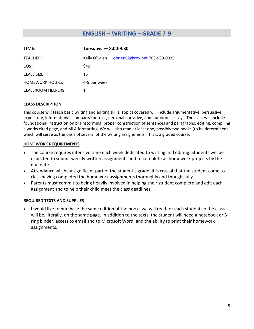# **ENGLISH – WRITING – GRADE 7-9**

<span id="page-8-0"></span>

| TIME:                     | Tuesdays $-8:00-9:30$                         |
|---------------------------|-----------------------------------------------|
| TEACHER:                  | Kelly O'Brien - obrien62@cox.net 703-989-0025 |
| COST:                     | \$40                                          |
| CLASS SIZE:               | 15                                            |
| <b>HOMEWORK HOURS:</b>    | 4-5 per week                                  |
| <b>CLASSROOM HELPERS:</b> | 1                                             |

### **CLASS DESCRIPTION**

This course will teach basic writing and editing skills. Topics covered will include argumentative, persuasive, expository, informational, compare/contrast, personal narrative, and humorous essays. The class will include foundational instruction on brainstorming, proper construction of sentences and paragraphs, editing, compiling a works cited page, and MLA formatting. We will also read at least one, possibly two books (to be determined) which will serve as the basis of several of the writing assignments. This is a graded course.

#### **HOMEWORK REQUIREMENTS**

- The course requires intensive time each week dedicated to writing and editing. Students will be expected to submit weekly written assignments and to complete all homework projects by the due date.
- Attendance will be a significant part of the student's grade. It is crucial that the student come to class having completed the homework assignments thoroughly and thoughtfully.
- Parents must commit to being heavily involved in helping their student complete and edit each assignment and to help their child meet the class deadlines.

### **REQUIRED TEXTS AND SUPPLIES**

• I would like to purchase the same edition of the books we will read for each student so the class will be, literally, on the same page. In addition to the texts, the student will need a notebook or 3 ring binder, access to email and to Microsoft Word, and the ability to print their homework assignments.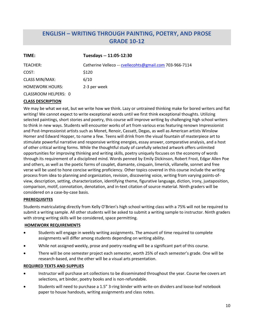# <span id="page-9-0"></span>**ENGLISH – WRITING THROUGH PAINTING, POETRY, AND PROSE GRADE 10-12**

| TIME:                  | Tuesdays -- 11:05-12:30                                 |
|------------------------|---------------------------------------------------------|
| TEACHER:               | Catherine Velleco -- cvellecohts@gmail.com 703-966-7114 |
| COST:                  | \$120                                                   |
| <b>CLASS MIN/MAX:</b>  | 6/10                                                    |
| <b>HOMEWORK HOURS:</b> | 2-3 per week                                            |
| CLASSROOM HELPERS: 0   |                                                         |

### **CLASS DESCRIPTION**

We may be what we eat, but we write how we think. Lazy or untrained thinking make for bored writers and flat writing! We cannot expect to write exceptional words until we first think exceptional thoughts. Utilizing selected paintings, short stories and poetry, this course will improve writing by challenging high school writers to think in new ways. Students will encounter works of art from various eras featuring renown Impressionist and Post-Impressionist artists such as Monet, Renoir, Cassatt, Degas, as well as American artists Winslow Homer and Edward Hopper, to name a few. Teens will drink from the visual fountain of masterpiece art to stimulate powerful narrative and responsive writing energies, essay answer, comparative analysis, and a host of other critical writing forms. While the thoughtful study of carefully selected artwork offers unlimited opportunities for improving thinking and writing skills, poetry uniquely focuses on the economy of words through its requirement of a disciplined mind. Words penned by Emily Dickinson, Robert Frost, Edgar Allen Poe and others, as well as the poetic forms of couplet, diamante, cinquain, limerick, villanelle, sonnet and free verse will be used to hone concise writing proficiency. Other topics covered in this course include the writing process from idea to planning and organization, revision, discovering voice, writing from varying points-ofview, description, setting, characterization, identifying theme, figurative language, diction, irony, juxtaposition, comparison, motif, connotation, denotation, and in-text citation of source material. Ninth graders will be considered on a case-by-case basis.

### **PREREQUISITES**

Students matriculating directly from Kelly O'Brien's high school writing class with a 75% will not be required to submit a writing sample. All other students will be asked to submit a writing sample to instructor. Ninth graders with strong writing skills will be considered, space permitting.

### **HOMEWORK REQUIREMENTS**

- Students will engage in weekly writing assignments. The amount of time required to complete assignments will differ among students depending on writing ability.
- While not assigned weekly, prose and poetry reading will be a significant part of this course.
- There will be one semester project each semester, worth 25% of each semester's grade. One will be research-based, and the other will be a visual arts presentation.

- Instructor will purchase art collections to be disseminated throughout the year. Course fee covers art selections, art binder, poetry books and is non-refundable.
- Students will need to purchase a 1.5" 3-ring binder with write-on dividers and loose-leaf notebook paper to house handouts, writing assignments and class notes.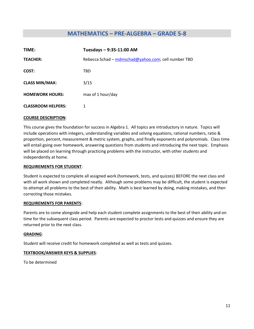# **MATHEMATICS – PRE-ALGEBRA – GRADE 5-8**

<span id="page-10-0"></span>

| TIME:                     | Tuesdays - 9:35-11:00 AM                            |
|---------------------------|-----------------------------------------------------|
| <b>TEACHER:</b>           | Rebecca Schad – mdmschad@yahoo.com; cell number TBD |
| COST:                     | TBD                                                 |
| <b>CLASS MIN/MAX:</b>     | 3/15                                                |
| <b>HOMEWORK HOURS:</b>    | max of 1 hour/day                                   |
| <b>CLASSROOM HELPERS:</b> |                                                     |

#### **COURSE DESCRIPTION**:

This course gives the foundation for success in Algebra 1. All topics are introductory in nature. Topics will include operations with integers, understanding variables and solving equations, rational numbers, ratio & proportion, percent, measurement & metric system, graphs, and finally exponents and polynomials. Class time will entail going over homework, answering questions from students and introducing the next topic. Emphasis will be placed on learning through practicing problems with the instructor, with other students and independently at home.

#### **REQUIREMENTS FOR STUDENT**:

Student is expected to complete all assigned work (homework, tests, and quizzes) BEFORE the next class and with all work shown and completed neatly. Although some problems may be difficult, the student is expected to attempt all problems to the best of their ability. Math is best learned by doing, making mistakes, and then correcting those mistakes.

#### **REQUIREMENTS FOR PARENTS**:

Parents are to come alongside and help each student complete assignments to the best of their ability and on time for the subsequent class period. Parents are expected to proctor tests and quizzes and ensure they are returned prior to the next class.

#### **GRADING**:

Student will receive credit for homework completed as well as tests and quizzes.

# **TEXTBOOK/ANSWER KEYS & SUPPLIES**:

To be determined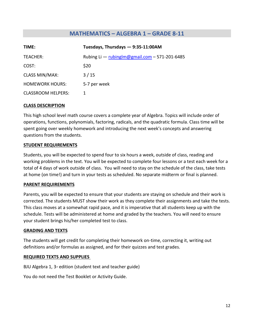# **MATHEMATICS – ALGEBRA 1 – GRADE 8-11**

<span id="page-11-0"></span>

| TIME:                     | Tuesdays, Thursdays - 9:35-11:00AM                |
|---------------------------|---------------------------------------------------|
| TEACHER:                  | Rubing Li $-$ rubing lm@gmail.com $-571-201-6485$ |
| COST:                     | \$20                                              |
| <b>CLASS MIN/MAX:</b>     | 3/15                                              |
| <b>HOMEWORK HOURS:</b>    | 5-7 per week                                      |
| <b>CLASSROOM HELPERS:</b> |                                                   |

# **CLASS DESCRIPTION**

This high school level math course covers a complete year of Algebra. Topics will include order of operations, functions, polynomials, factoring, radicals, and the quadratic formula. Class time will be spent going over weekly homework and introducing the next week's concepts and answering questions from the students.

### **STUDENT REQUIREMENTS**

Students, you will be expected to spend four to six hours a week, outside of class, reading and working problems in the text. You will be expected to complete four lessons or a test each week for a total of 4 days of work outside of class. You will need to stay on the schedule of the class, take tests at home (on time!) and turn in your tests as scheduled. No separate midterm or final is planned.

### **PARENT REQUIREMENTS**

Parents, you will be expected to ensure that your students are staying on schedule and their work is corrected. The students MUST show their work as they complete their assignments and take the tests. This class moves at a somewhat rapid pace, and it is imperative that all students keep up with the schedule. Tests will be administered at home and graded by the teachers. You will need to ensure your student brings his/her completed test to class.

### **GRADING AND TEXTS**

The students will get credit for completing their homework on-time, correcting it, writing out definitions and/or formulas as assigned, and for their quizzes and test grades.

### **REQUIRED TEXTS AND SUPPLIES**

BJU Algebra 1,  $3<sub>rd</sub>$  edition (student text and teacher guide)

You do not need the Test Booklet or Activity Guide.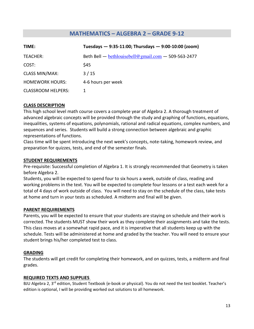# **MATHEMATICS – ALGEBRA 2 – GRADE 9-12**

<span id="page-12-0"></span>

| TIME:                     | Tuesdays $-9:35-11:00$ ; Thursdays $-9:00-10:00$ (zoom) |
|---------------------------|---------------------------------------------------------|
| TEACHER:                  | Beth Bell — bethlouisebell@gmail.com — 509-563-2477     |
| COST:                     | \$45                                                    |
| <b>CLASS MIN/MAX:</b>     | 3/15                                                    |
| <b>HOMEWORK HOURS:</b>    | 4-6 hours per week                                      |
| <b>CLASSROOM HELPERS:</b> | 1                                                       |

# **CLASS DESCRIPTION**

This high school level math course covers a complete year of Algebra 2. A thorough treatment of advanced algebraic concepts will be provided through the study and graphing of functions, equations, inequalities, systems of equations, polynomials, rational and radical equations, complex numbers, and sequences and series. Students will build a strong connection between algebraic and graphic representations of functions.

Class time will be spent introducing the next week's concepts, note-taking, homework review, and preparation for quizzes, tests, and end of the semester finals.

### **STUDENT REQUIREMENTS**

Pre-requisite: Successful completion of Algebra 1. It is strongly recommended that Geometry is taken before Algebra 2.

Students, you will be expected to spend four to six hours a week, outside of class, reading and working problems in the text. You will be expected to complete four lessons or a test each week for a total of 4 days of work outside of class. You will need to stay on the schedule of the class, take tests at home and turn in your tests as scheduled. A midterm and final will be given.

### **PARENT REQUIREMENTS**

Parents, you will be expected to ensure that your students are staying on schedule and their work is corrected. The students MUST show their work as they complete their assignments and take the tests. This class moves at a somewhat rapid pace, and it is imperative that all students keep up with the schedule. Tests will be administered at home and graded by the teacher. You will need to ensure your student brings his/her completed test to class.

### **GRADING**

The students will get credit for completing their homework, and on quizzes, tests, a midterm and final grades.

### **REQUIRED TEXTS AND SUPPLIES**

BJU Algebra 2, 3<sup>rd</sup> edition, Student Textbook {e-book or physical}. You do not need the test booklet. Teacher's edition is optional, I will be providing worked out solutions to all homework.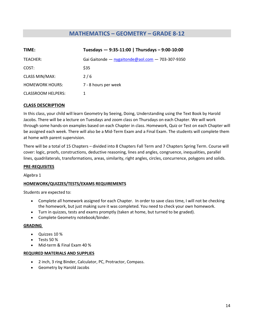# **MATHEMATICS – GEOMETRY – GRADE 8-12**

<span id="page-13-0"></span>

| TIME:                     | Tuesdays $-9:35-11:00$   Thursdays $-9:00-10:00$ |
|---------------------------|--------------------------------------------------|
| TEACHER:                  | Gai Gaitonde — nygaitonde@aol.com — 703-307-9350 |
| COST:                     | \$35                                             |
| <b>CLASS MIN/MAX:</b>     | 2/6                                              |
| <b>HOMEWORK HOURS:</b>    | 7 - 8 hours per week                             |
| <b>CLASSROOM HELPERS:</b> |                                                  |

### **CLASS DESCRIPTION**

In this class, your child will learn Geometry by Seeing, Doing, Understanding using the Text Book by Harold Jacobs. There will be a lecture on Tuesdays and zoom class on Thursdays on each Chapter. We will work through some hands-on examples based on each Chapter in class. Homework, Quiz or Test on each Chapter will be assigned each week. There will also be a Mid-Term Exam and a Final Exam. The students will complete them at home with parent supervision.

There will be a total of 15 Chapters – divided into 8 Chapters Fall Term and 7 Chapters Spring Term. Course will cover: logic, proofs, constructions, deductive reasoning, lines and angles, congruence, inequalities, parallel lines, quadrilaterals, transformations, areas, similarity, right angles, circles, concurrence, polygons and solids.

#### **PRE-REQUISITES**

Algebra 1

### **HOMEWORK/QUIZZES/TESTS/EXAMS REQUIREMENTS**

Students are expected to:

- Complete all homework assigned for each Chapter. In order to save class time, I will not be checking the homework, but just making sure it was completed. You need to check your own homework.
- Turn in quizzes, tests and exams promptly (taken at home, but turned to be graded).
- Complete Geometry notebook/binder.

#### **GRADING**

- Quizzes 10 %
- Tests 50 %
- Mid-term & Final Exam 40 %

#### **REQUIRED MATERIALS AND SUPPLIES**

- 2 inch, 3 ring Binder, Calculator, PC, Protractor, Compass.
- Geometry by Harold Jacobs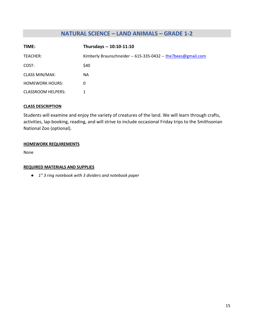# **NATURAL SCIENCE – LAND ANIMALS – GRADE 1-2**

<span id="page-14-0"></span>

| TIME:                     | Thursdays -- 10:10-11:10                                       |
|---------------------------|----------------------------------------------------------------|
| TEACHER:                  | Kimberly Braunschneider -- 615-335-0432 -- the 7bees@gmail.com |
| COST:                     | \$40                                                           |
| <b>CLASS MIN/MAX:</b>     | <b>NA</b>                                                      |
| <b>HOMEWORK HOURS:</b>    | 0                                                              |
| <b>CLASSROOM HELPERS:</b> |                                                                |

# **CLASS DESCRIPTION**

Students will examine and enjoy the variety of creatures of the land. We will learn through crafts, activities, lap-booking, reading, and will strive to include occasional Friday trips to the Smithsonian National Zoo (optional).

### **HOMEWORK REQUIREMENTS**

None

### **REQUIRED MATERIALS AND SUPPLIES**

● *1" 3 ring notebook with 3 dividers and notebook paper*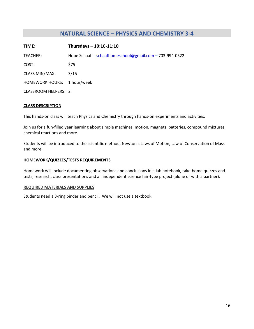# **NATURAL SCIENCE – PHYSICS AND CHEMISTRY 3-4**

<span id="page-15-0"></span>**TIME: Thursdays – 10:10-11:10**  TEACHER: Hope Schaaf -- [schaafhomeschool@gmail.com](mailto:schaafhomeschool@gmail.com) – 703-994-0522 COST: \$75 CLASS MIN/MAX: 3/15 HOMEWORK HOURS: 1 hour/week CLASSROOM HELPERS: 2

#### **CLASS DESCRIPTION**

This hands-on class will teach Physics and Chemistry through hands-on experiments and activities.

Join us for a fun-filled year learning about simple machines, motion, magnets, batteries, compound mixtures, chemical reactions and more.

Students will be introduced to the scientific method, Newton's Laws of Motion, Law of Conservation of Mass and more.

#### **HOMEWORK/QUIZZES/TESTS REQUIREMENTS**

Homework will include documenting observations and conclusions in a lab notebook, take-home quizzes and tests, research, class presentations and an independent science fair-type project (alone or with a partner).

#### **REQUIRED MATERIALS AND SUPPLIES**

Students need a 3-ring binder and pencil. We will not use a textbook.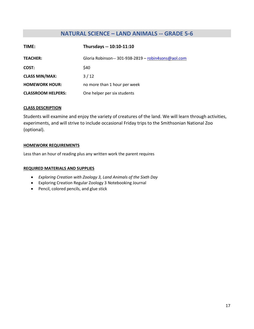# **NATURAL SCIENCE – LAND ANIMALS -- GRADE 5-6**

<span id="page-16-0"></span>

| TIME:                     | Thursdays -- 10:10-11:10                            |
|---------------------------|-----------------------------------------------------|
| <b>TEACHER:</b>           | Gloria Robinson-- 301-938-2819 - robin4sons@aol.com |
| COST:                     | \$40                                                |
| <b>CLASS MIN/MAX:</b>     | $3/12$                                              |
| <b>HOMEWORK HOUR:</b>     | no more than 1 hour per week                        |
| <b>CLASSROOM HELPERS:</b> | One helper per six students                         |

#### **CLASS DESCRIPTION**

Students will examine and enjoy the variety of creatures of the land. We will learn through activities, experiments, and will strive to include occasional Friday trips to the Smithsonian National Zoo (optional).

#### **HOMEWORK REQUIREMENTS**

Less than an hour of reading plus any written work the parent requires

#### **REQUIRED MATERIALS AND SUPPLIES**

- *Exploring Creation with Zoology 3, Land Animals of the Sixth Day*
- Exploring Creation Regular Zoology 3 Notebooking Journal
- Pencil, colored pencils, and glue stick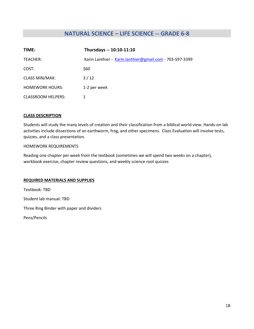# **NATURAL SCIENCE – LIFE SCIENCE -- GRADE 6-8**

<span id="page-17-0"></span>

| TIME:                     | Thursdays -- 10:10-11:10                                 |
|---------------------------|----------------------------------------------------------|
| TEACHER:                  | Karin Lanthier - Karin.lanthier@gmail.com - 703-597-3399 |
| COST:                     | \$60                                                     |
| <b>CLASS MIN/MAX:</b>     | 3/12                                                     |
| <b>HOMEWORK HOURS:</b>    | 1-2 per week                                             |
| <b>CLASSROOM HELPERS:</b> |                                                          |

#### **CLASS DESCRIPTION**

Students will study the many levels of creation and their classification from a biblical world view. Hands-on lab activities include dissections of an earthworm, frog, and other specimens. Class Evaluation will involve tests, quizzes, and a class presentation.

#### HOMEWORK REQUIREMENTS

Reading one chapter per week from the textbook (sometimes we will spend two weeks on a chapter), workbook exercise, chapter review questions, and weekly science root quizzes

#### **REQUIRED MATERIALS AND SUPPLIES**

Textbook: TBD

Student lab manual: TBD

Three Ring Binder with paper and dividers

Pens/Pencils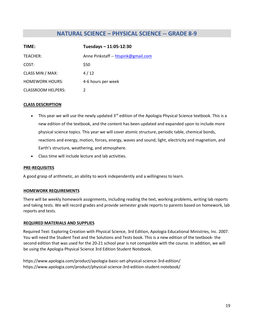# **NATURAL SCIENCE – PHYSICAL SCIENCE -- GRADE 8-9**

<span id="page-18-0"></span>

| TIME:                     | Tuesdays - 11:05-12:30              |
|---------------------------|-------------------------------------|
| TEACHER:                  | Anne Pinkstaff -- htspink@gmail.com |
| COST:                     | \$50                                |
| CLASS MIN / MAX:          | 4/12                                |
| <b>HOMEWORK HOURS:</b>    | 4-6 hours per week                  |
| <b>CLASSROOM HELPERS:</b> | 2                                   |

#### **CLASS DESCRIPTION**

- This year we will use the newly updated 3<sup>rd</sup> edition of the Apologia Physical Science textbook. This is a new edition of the textbook, and the content has been updated and expanded upon to include more physical science topics. This year we will cover atomic structure, periodic table, chemical bonds, reactions and energy, motion, forces, energy, waves and sound, light, electricity and magnetism, and Earth's structure, weathering, and atmosphere.
- Class time will include lecture and lab activities.

#### **PRE-REQUISITES**

A good grasp of arithmetic, an ability to work independently and a willingness to learn.

#### **HOMEWORK REQUIREMENTS**

There will be weekly homework assignments, including reading the text, working problems, writing lab reports and taking tests. We will record grades and provide semester grade reports to parents based on homework, lab reports and tests.

#### **REQUIRED MATERIALS AND SUPPLIES**

Required Text: Exploring Creation with Physical Science, 3rd Edition, Apologia Educational Ministries, Inc. 2007. You will need the Student Text and the Solutions and Tests book. This is a new edition of the textbook- the second edition that was used for the 20-21 school year is not compatible with the course. In addition, we will be using the Apologia Physical Science 3rd Edition Student Notebook.

https://www.apologia.com/product/apologia-basic-set-physical-science-3rd-edition/ https://www.apologia.com/product/physical-science-3rd-edition-student-notebook/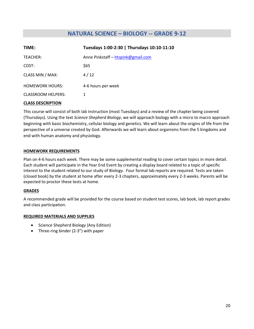# **NATURAL SCIENCE – BIOLOGY -- GRADE 9-12**

<span id="page-19-0"></span>

| TIME:                  | Tuesdays 1:00-2:30   Thursdays 10:10-11:10 |
|------------------------|--------------------------------------------|
| TEACHER:               | Anne Pinkstaff - htspink@gmail.com         |
| COST:                  | <b>S65</b>                                 |
| CLASS MIN / MAX:       | 4/12                                       |
| <b>HOMEWORK HOURS:</b> | 4-6 hours per week                         |
| CLASSROOM HELPERS:     | 1                                          |

#### **CLASS DESCRIPTION**

This course will consist of both lab instruction (most Tuesdays) and a review of the chapter being covered (Thursdays). Using the text *Science Shepherd Biology*, we will approach biology with a micro to macro approach beginning with basic biochemistry, cellular biology and genetics. We will learn about the origins of life from the perspective of a universe created by God. Afterwards we will learn about organisms from the 5 kingdoms and end with human anatomy and physiology.

#### **HOMEWORK REQUIREMENTS**

Plan on 4-6 hours each week. There may be some supplemental reading to cover certain topics in more detail. Each student will participate in the Year End Event by creating a display board related to a topic of specific interest to the student related to our study of Biology. Four formal lab reports are required. Tests are taken (closed book) by the student at home after every 2-3 chapters, approximately every 2-3 weeks. Parents will be expected to proctor these tests at home.

### **GRADES**

A recommended grade will be provided for the course based on student test scores, lab book, lab report grades and class participation.

#### **REQUIRED MATERIALS AND SUPPLIES**

- Science Shepherd Biology (Any Edition)
- Three-ring binder (2-3") with paper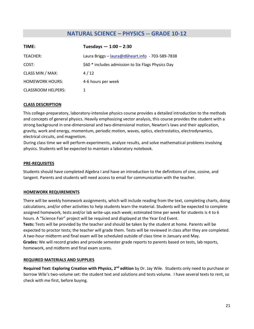# **NATURAL SCIENCE – PHYSICS -- GRADE 10-12**

<span id="page-20-0"></span>

| TIME:                  | Tuesdays $- 1:00 - 2:30$                           |
|------------------------|----------------------------------------------------|
| TEACHER:               | Laura Briggs $-$ laura@d6heart.info - 703-589-7838 |
| COST:                  | \$60 * includes admission to Six Flags Physics Day |
| CLASS MIN / MAX:       | 4/12                                               |
| <b>HOMEWORK HOURS:</b> | 4-6 hours per week                                 |
| CLASSROOM HELPERS:     | 1                                                  |

### **CLASS DESCRIPTION**

This college-preparatory, laboratory-intensive physics course provides a detailed introduction to the methods and concepts of general physics. Heavily emphasizing vector analysis, this course provides the student with a strong background in one-dimensional and two-dimensional motion, Newton's laws and their application, gravity, work and energy, momentum, periodic motion, waves, optics, electrostatics, electrodynamics, electrical circuits, and magnetism.

During class time we will perform experiments, analyze results, and solve mathematical problems involving physics. Students will be expected to maintain a laboratory notebook.

#### **PRE-REQUISITES**

Students should have completed Algebra I and have an introduction to the definitions of sine, cosine, and tangent. Parents and students will need access to email for communication with the teacher.

#### **HOMEWORK REQUIREMENTS**

There will be weekly homework assignments, which will include reading from the text, completing charts, doing calculations, and/or other activities to help students learn the material. Students will be expected to complete assigned homework, tests and/or lab write-ups each week; estimated time per week for students is 4 to 6 hours. A "Science Fair" project will be required and displayed at the Year End Event. **Tests:** Tests will be provided by the teacher and should be taken by the student at home. Parents will be expected to proctor tests; the teacher will grade them. Tests will be reviewed in class after they are completed. A two-hour midterm and final exam will be scheduled outside of class time in January and May. **Grades:** We will record grades and provide semester grade reports to parents based on tests, lab reports, homework, and midterm and final exam scores.

#### **REQUIRED MATERIALS AND SUPPLIES**

**Required Text: Exploring Creation with Physics, 2nd edition** by Dr. Jay Wile. Students only need to purchase or borrow Wile's two-volume set: the student text and solutions and tests volume. I have several texts to rent, so check with me first, before buying.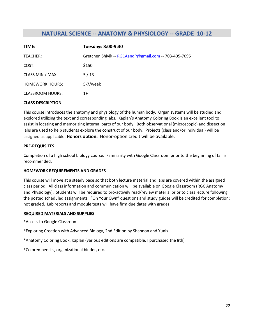# **NATURAL SCIENCE -- ANATOMY & PHYSIOLOGY -- GRADE 10-12**

<span id="page-21-0"></span>

| TIME:                   | <b>Tuesdays 8:00-9:30</b>                             |
|-------------------------|-------------------------------------------------------|
| TEACHER:                | Gretchen Shivik -- RGCAandP@gmail.com -- 703-405-7095 |
| COST:                   | \$150                                                 |
| CLASS MIN / MAX:        | 5/13                                                  |
| <b>HOMEWORK HOURS:</b>  | 5-7/week                                              |
| <b>CLASSROOM HOURS:</b> | $1+$                                                  |

#### **CLASS DESCRIPTION**

This course introduces the anatomy and physiology of the human body. Organ systems will be studied and explored utilizing the text and corresponding labs. Kaplan's Anatomy Coloring Book is an excellent tool to assist in locating and memorizing internal parts of our body. Both observational (microscopic) and dissection labs are used to help students explore the construct of our body. Projects (class and/or individual) will be assigned as applicable. **Honors option:** Honor-option credit will be available.

#### **PRE-REQUISITES**

Completion of a high school biology course. Familiarity with Google Classroom prior to the beginning of fall is recommended.

#### **HOMEWORK REQUIREMENTS AND GRADES**

This course will move at a steady pace so that both lecture material and labs are covered within the assigned class period. All class information and communication will be available on Google Classroom (RGC Anatomy and Physiology). Students will be required to pro-actively read/review material prior to class lecture following the posted scheduled assignments. "On Your Own" questions and study guides will be credited for completion; not graded. Lab reports and module tests will have firm due dates with grades.

#### **REQUIRED MATERIALS AND SUPPLIES**

- \*Access to Google Classroom
- \*Exploring Creation with Advanced Biology, 2nd Edition by Shannon and Yunis
- \*Anatomy Coloring Book, Kaplan (various editions are compatible, I purchased the 8th)
- \*Colored pencils, organizational binder, etc.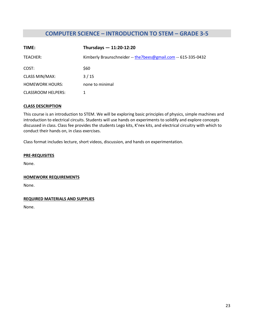# **COMPUTER SCIENCE – INTRODUCTION TO STEM – GRADE 3-5**

<span id="page-22-0"></span>

| TIME:                     | Thursdays $- 11:20-12:20$                                      |
|---------------------------|----------------------------------------------------------------|
| TEACHER:                  | Kimberly Braunschneider -- the 7bees@gmail.com -- 615-335-0432 |
| COST:                     | \$60                                                           |
| <b>CLASS MIN/MAX:</b>     | 3/15                                                           |
| <b>HOMEWORK HOURS:</b>    | none to minimal                                                |
| <b>CLASSROOM HELPERS:</b> |                                                                |

#### **CLASS DESCRIPTION**

This course is an introduction to STEM. We will be exploring basic principles of physics, simple machines and introduction to electrical circuits. Students will use hands on experiments to solidify and explore concepts discussed in class. Class fee provides the students Lego kits, K'nex kits, and electrical circuitry with which to conduct their hands on, in class exercises.

Class format includes lecture, short videos, discussion, and hands on experimentation.

#### **PRE-REQUISITES**

None.

#### **HOMEWORK REQUIREMENTS**

None.

#### **REQUIRED MATERIALS AND SUPPLIES**

None.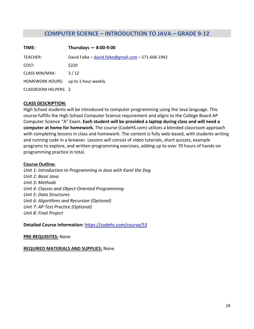# **COMPUTER SCIENCE – INTRODUCTION TO JAVA – GRADE 9-12**

<span id="page-23-0"></span>

| TIME:                               | Thursdays $-8:00-9:00$                             |
|-------------------------------------|----------------------------------------------------|
| TEACHER:                            | David Falke – david.falke@gmail.com – 571-606-1942 |
| COST:                               | \$220                                              |
| <b>CLASS MIN/MAX:</b>               | 3/12                                               |
| HOMEWORK HOURS: up to 1 hour weekly |                                                    |
| CLASSROOM HELPERS: 2                |                                                    |

### **CLASS DESCRIPTION:**

High School students will be introduced to computer programming using the Java language. This course fulfills the High School Computer Science requirement and aligns to the College Board AP Computer Science "A" Exam. **Each student will be provided a laptop during class and will need a computer at home for homework.** The course (CodeHS.com) utilizes a blended classroom approach with completing lessons in class and homework. The content is fully web-based, with students writing and running code in a browser. Lessons will consist of video tutorials, short quizzes, example programs to explore, and written programming exercises, adding up to over 70 hours of hands-on programming practice in total.

#### **Course Outline:**

*Unit 1: Introduction to Programming in Java with Karel the Dog Unit 2: Basic Java Unit 3: Methods Unit 4: Classes and Object-Oriented Programming Unit 5: Data Structures Unit 6: Algorithms and Recursion (Optional) Unit 7: AP Test Practice (Optional) Unit 8: Final Project* 

**Detailed Course Information:** <https://codehs.com/course/53>

**PRE-REQUISITES:** None

#### **REQUIRED MATERIALS AND SUPPLIES:** None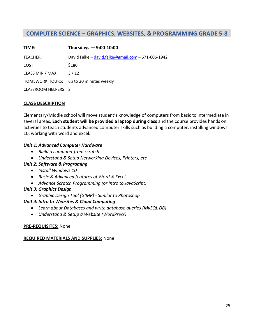# <span id="page-24-0"></span>**COMPUTER SCIENCE – GRAPHICS, WEBSITES, & PROGRAMMING GRADE 5-8**

| TIME:                | Thursdays $-9:00-10:00$                            |
|----------------------|----------------------------------------------------|
| TEACHER:             | David Falke – david.falke@gmail.com – 571-606-1942 |
| COST:                | \$180                                              |
| CLASS MIN / MAX:     | 3/12                                               |
|                      | HOMEWORK HOURS: up to 20 minutes weekly            |
| CLASSROOM HELPERS: 2 |                                                    |

### **CLASS DESCRIPTION**

Elementary/Middle school will move student's knowledge of computers from basic to intermediate in several areas. **Each student will be provided a laptop during class** and the course provides hands on activities to teach students advanced computer skills such as building a computer, installing windows 10, working with word and excel.

#### *Unit 1: Advanced Computer Hardware*

- *Build a computer from scratch*
- *Understand & Setup Networking Devices, Printers, etc.*

### *Unit 2: Software & Programing*

- *Install Windows 10*
- *Basic & Advanced features of Word & Excel*
- *Advance Scratch Programming (or Intro to JavaScript)*

#### *Unit 3: Graphics Design*

• *Graphic Design Tool (GIMP) - Similar to Photoshop* 

#### *Unit 4: Intro to Websites & Cloud Computing*

- *Learn about Databases and write database queries (MySQL DB)*
- *Understand & Setup a Website (WordPress)*

#### **PRE-REQUISITES:** None

#### **REQUIRED MATERIALS AND SUPPLIES:** None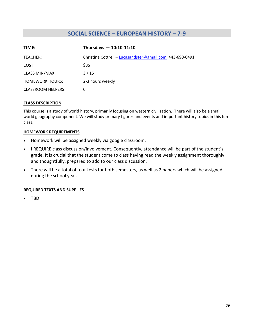# **SOCIAL SCIENCE – EUROPEAN HISTORY – 7-9**

<span id="page-25-0"></span>

| TIME:                     | Thursdays $-$ 10:10-11:10                                |
|---------------------------|----------------------------------------------------------|
| TEACHER:                  | Christina Cottrell - Lucasandster@gmail.com 443-690-0491 |
| COST:                     | \$35                                                     |
| <b>CLASS MIN/MAX:</b>     | 3/15                                                     |
| <b>HOMEWORK HOURS:</b>    | 2-3 hours weekly                                         |
| <b>CLASSROOM HELPERS:</b> | 0                                                        |

#### **CLASS DESCRIPTION**

This course is a study of world history, primarily focusing on western civilization. There will also be a small world geography component. We will study primary figures and events and important history topics in this fun class.

#### **HOMEWORK REQUIREMENTS**

- Homework will be assigned weekly via google classroom.
- I REQUIRE class discussion/involvement. Consequently, attendance will be part of the student's grade. It is crucial that the student come to class having read the weekly assignment thoroughly and thoughtfully, prepared to add to our class discussion.
- There will be a total of four tests for both semesters, as well as 2 papers which will be assigned during the school year.

#### **REQUIRED TEXTS AND SUPPLIES**

• TBD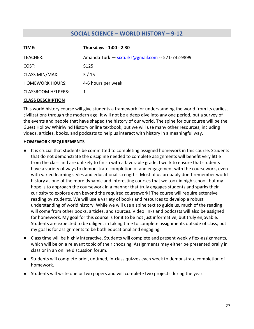# **SOCIAL SCIENCE – WORLD HISTORY – 9-12**

<span id="page-26-0"></span>

| TIME:                     | Thursdays - 1:00 - 2:30                          |
|---------------------------|--------------------------------------------------|
| TEACHER:                  | Amanda Turk - sixturks@gmail.com -- 571-732-9899 |
| COST:                     | \$125                                            |
| <b>CLASS MIN/MAX:</b>     | 5/15                                             |
| <b>HOMEWORK HOURS:</b>    | 4-6 hours per week                               |
| <b>CLASSROOM HELPERS:</b> |                                                  |
|                           |                                                  |

# **CLASS DESCRIPTION**

This world history course will give students a framework for understanding the world from its earliest civilizations through the modern age. It will not be a deep dive into any one period, but a survey of the events and people that have shaped the history of our world. The spine for our course will be the Guest Hollow Whirlwind History online textbook, but we will use many other resources, including videos, articles, books, and podcasts to help us interact with history in a meaningful way.

### **HOMEWORK REQUIREMENTS**

- It is crucial that students be committed to completing assigned homework in this course. Students that do not demonstrate the discipline needed to complete assignments will benefit very little from the class and are unlikely to finish with a favorable grade. I work to ensure that students have a variety of ways to demonstrate completion of and engagement with the coursework, even with varied learning styles and educational strengths. Most of us probably don't remember world history as one of the more dynamic and interesting courses that we took in high school, but my hope is to approach the coursework in a manner that truly engages students and sparks their curiosity to explore even beyond the required coursework! The course will require extensive reading by students. We will use a variety of books and resources to develop a robust understanding of world history. While we will use a spine text to guide us, much of the reading will come from other books, articles, and sources. Video links and podcasts will also be assigned for homework. My goal for this course is for it to be not just informative, but truly enjoyable. Students are expected to be diligent in taking time to complete assignments outside of class, but my goal is for assignments to be both educational and engaging.
- Class time will be highly interactive. Students will complete and present weekly flex-assignments, which will be on a relevant topic of their choosing. Assignments may either be presented orally in class or in an online discussion forum.
- Students will complete brief, untimed, in-class quizzes each week to demonstrate completion of homework.
- Students will write one or two papers and will complete two projects during the year.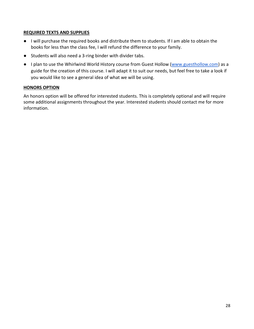# **REQUIRED TEXTS AND SUPPLIES**

- I will purchase the required books and distribute them to students. If I am able to obtain the books for less than the class fee, I will refund the difference to your family.
- Students will also need a 3-ring binder with divider tabs.
- I plan to use the Whirlwind World History course from Guest Hollow [\(www.guesthollow.com\)](http://www.guesthollow.com/) as a guide for the creation of this course. I will adapt it to suit our needs, but feel free to take a look if you would like to see a general idea of what we will be using.

# **HONORS OPTION**

An honors option will be offered for interested students. This is completely optional and will require some additional assignments throughout the year. Interested students should contact me for more information.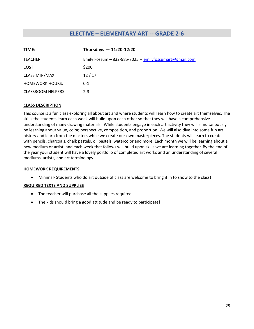# **ELECTIVE – ELEMENTARY ART -- GRADE 2-6**

<span id="page-28-0"></span>

| TIME:                  | Thursdays $- 11:20-12:20$                               |
|------------------------|---------------------------------------------------------|
| TEACHER:               | Emily Fossum - 832-985-7025 -- emilyfossumart@gmail.com |
| COST:                  | \$200                                                   |
| <b>CLASS MIN/MAX:</b>  | 12/17                                                   |
| <b>HOMEWORK HOURS:</b> | $0 - 1$                                                 |
| CLASSROOM HELPERS:     | $2 - 3$                                                 |

#### **CLASS DESCRIPTION**

This course is a fun class exploring all about art and where students will learn how to create art themselves. The skills the students learn each week will build upon each other so that they will have a comprehensive understanding of many drawing materials. While students engage in each art activity they will simultaneously be learning about value, color, perspective, composition, and proportion. We will also dive into some fun art history and learn from the masters while we create our own masterpieces. The students will learn to create with pencils, charcoals, chalk pastels, oil pastels, watercolor and more. Each month we will be learning about a new medium or artist, and each week that follows will build upon skills we are learning together. By the end of the year your student will have a lovely portfolio of completed art works and an understanding of several mediums, artists, and art terminology.

#### **HOMEWORK REQUIREMENTS**

• Minimal- Students who do art outside of class are welcome to bring it in to show to the class!

- The teacher will purchase all the supplies required.
- The kids should bring a good attitude and be ready to participate!!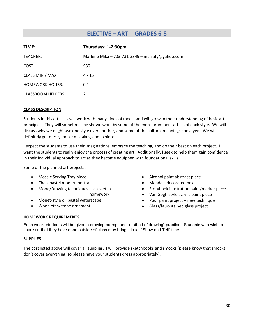# **ELECTIVE – ART -- GRADES 6-8**

<span id="page-29-0"></span>

| TIME:                     | Thursdays: 1-2:30pm                             |
|---------------------------|-------------------------------------------------|
| TEACHER:                  | Marlene Mika - 703-731-3349 - mchiaty@yahoo.com |
| COST:                     | \$80                                            |
| CLASS MIN / MAX:          | 4/15                                            |
| <b>HOMEWORK HOURS:</b>    | $0 - 1$                                         |
| <b>CLASSROOM HELPERS:</b> | 2                                               |

#### **CLASS DESCRIPTION**

Students in this art class will work with many kinds of media and will grow in their understanding of basic art principles. They will sometimes be shown work by some of the more prominent artists of each style. We will discuss why we might use one style over another, and some of the cultural meanings conveyed. We will definitely get messy, make mistakes, and explore!

I expect the students to use their imaginations, embrace the teaching, and do their best on each project. I want the students to really enjoy the process of creating art. Additionally, I seek to help them gain confidence in their individual approach to art as they become equipped with foundational skills.

Some of the planned art projects:

- Mosaic Serving Tray piece
- Chalk pastel modern portrait
- Mood/Drawing techniques via sketch homework
- Monet-style oil pastel waterscape
- Wood etch/stone ornament
- Alcohol paint abstract piece
- Mandala decorated box
- Storybook illustration paint/marker piece
- Van Gogh-style acrylic paint piece
- Pour paint project new technique
- Glass/faux-stained glass project

#### **HOMEWORK REQUIREMENTS**

Each week, students will be given a drawing prompt and "method of drawing" practice. Students who wish to share art that they have done outside of class may bring it in for "Show and Tell" time.

#### **SUPPLIES**

The cost listed above will cover all supplies. I will provide sketchbooks and smocks (please know that smocks don't cover everything, so please have your students dress appropriately).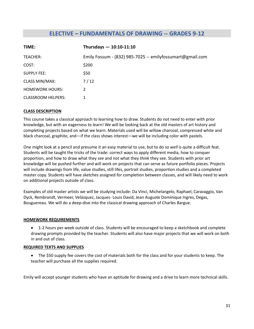# **ELECTIVE – FUNDAMENTALS OF DRAWING -- GRADES 9-12**

<span id="page-30-0"></span>

| TIME:                     | Thursdays $- 10:10 - 11:10$                               |
|---------------------------|-----------------------------------------------------------|
| TEACHER:                  | Emily Fossum - (832) 985-7025 -- emilyfossumart@gmail.com |
| COST:                     | \$200                                                     |
| <b>SUPPLY FEE:</b>        | \$50                                                      |
| <b>CLASS MIN/MAX:</b>     | 7/12                                                      |
| <b>HOMEWORK HOURS:</b>    | 2                                                         |
| <b>CLASSROOM HELPERS:</b> | 1                                                         |

#### **CLASS DESCRIPTION**

This course takes a classical approach to learning how to draw. Students do not need to enter with prior knowledge, but with an eagerness to learn! We will be looking back at the old masters of art history and completing projects based on what we learn. Materials used will be willow charcoal, compressed white and black charcoal, graphite, and—if the class shows interest—we will be including color with pastels.

One might look at a pencil and presume it an easy material to use, but to do so *well* is quite a difficult feat. Students will be taught the tricks of the trade: correct ways to apply different media, how to conquer proportion, and how to draw what they *see* and not what they *think* they see. Students with prior art knowledge will be pushed further and will work on projects that can serve as future portfolio pieces. Projects will include drawings from life, value studies, still lifes, portrait studies, proportion studies and a completed master copy. Students will have sketches assigned for completion between classes, and will likely need to work on additional projects outside of class.

Examples of old master artists we will be studying include: Da Vinci, Michelangelo, Raphael, Caravaggio, Van Dyck, Rembrandt, Vermeer, Velázquez, Jacques- Louis David, Jean Auguste Dominique Ingres, Degas, Bouguereau. We will do a deep-dive into the classical drawing approach of Charles Bargue.

#### **HOMEWORK REQUIREMENTS**

• 1-2 hours per week outside of class. Students will be encouraged to keep a sketchbook and complete drawing prompts provided by the teacher. Students will also have major projects that we will work on both in and out of class.

#### **REQUIRED TEXTS AND SUPPLIES**

• The \$50 supply fee covers the cost of materials both for the class and for your students to keep. The teacher will purchase all the supplies required.

Emily will accept younger students who have an aptitude for drawing and a drive to learn more technical skills.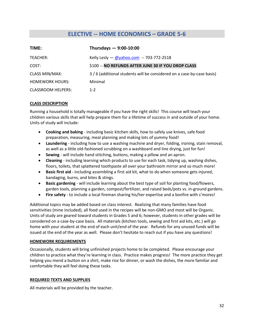# **ELECTIVE -- HOME ECONOMICS – GRADE 5-6**

<span id="page-31-0"></span>

| TIME:                     | Thursdays $-9:00-10:00$                                              |
|---------------------------|----------------------------------------------------------------------|
| TEACHER:                  | Kelly Lesly $-$ @yahoo.com -- 703-772-2518                           |
| COST:                     | \$100 -- NO REFUNDS AFTER JUNE 30 IF YOU DROP CLASS                  |
| <b>CLASS MIN/MAX:</b>     | 3/6 (additional students will be considered on a case-by-case basis) |
| <b>HOMEWORK HOURS:</b>    | Minimal                                                              |
| <b>CLASSROOM HELPERS:</b> | $1 - 2$                                                              |

#### **CLASS DESCRIPTION**

Running a household is totally manageable if you have the right skills! This course will teach your children various skills that will help prepare them for a lifetime of success in and outside of your home. Units of study will include:

- **Cooking and baking** including basic kitchen skills, how to safely use knives, safe food preparation, measuring, meal planning and making lots of yummy food!
- **Laundering** including how to use a washing machine and dryer, folding, ironing, stain removal, as well as a little old-fashioned scrubbing on a washboard and line drying, just for fun!
- **Sewing** will include hand stitching, buttons, making a pillow and an apron.
- **Cleaning** including learning which products to use for each task, tidying up, washing dishes, floors, toilets, that splattered toothpaste all over your bathroom mirror and so much more!
- **Basic first aid** including assembling a first aid kit, what to do when someone gets injured, bandaging, burns, and bites & stings.
- **Basic gardening** will include learning about the best type of soil for planting food/flowers, garden tools, planning a garden, compost/fertilizer, and raised beds/pots vs. in-ground gardens.
- **Fire safety** to include a local fireman sharing his/her expertise and a bonfire with s'mores!

Additional topics may be added based on class interest. Realizing that many families have food sensitivities (mine included), all food used in the recipes will be non-GMO and most will be Organic. Units of study are geared toward students in Grades 5 and 6; however, students in other grades will be considered on a case-by-case basis. All materials (kitchen tools, sewing and first aid kits, etc.) will go home with your student at the end of each unit/end of the year. Refunds for any unused funds will be issued at the end of the year as well. Please don't hesitate to reach out if you have any questions!

#### **HOMEWORK REQUIREMENTS**

Occasionally, students will bring unfinished projects home to be completed. Please encourage your children to practice what they're learning in class. Practice makes progress! The more practice they get helping you mend a button on a shirt, make rice for dinner, or wash the dishes, the more familiar and comfortable they will feel doing these tasks.

#### **REQUIRED TEXTS AND SUPPLIES**

All materials will be provided by the teacher.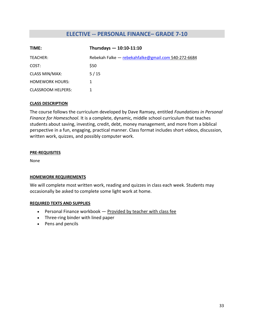# **ELECTIVE -- PERSONAL FINANCE– GRADE 7-10**

<span id="page-32-0"></span>

| TIME:                  | Thursdays $- 10:10 - 11:10$                         |
|------------------------|-----------------------------------------------------|
| TEACHER:               | Rebekah Falke — rebekahfalke@gmail.com 540-272-6684 |
| COST:                  | \$50                                                |
| <b>CLASS MIN/MAX:</b>  | 5/15                                                |
| <b>HOMEWORK HOURS:</b> | 1                                                   |
| CLASSROOM HELPERS:     |                                                     |

#### **CLASS DESCRIPTION**

The course follows the curriculum developed by Dave Ramsey, entitled *Foundations in Personal Finance for Homeschool*. It is a complete, dynamic, middle school curriculum that teaches students about saving, investing, credit, debt, money management, and more from a biblical perspective in a fun, engaging, practical manner. Class format includes short videos, discussion, written work, quizzes, and possibly computer work.

#### **PRE-REQUISITES**

None

### **HOMEWORK REQUIREMENTS**

We will complete most written work, reading and quizzes in class each week. Students may occasionally be asked to complete some light work at home.

- Personal Finance workbook Provided by teacher with class fee
- Three-ring binder with lined paper
- Pens and pencils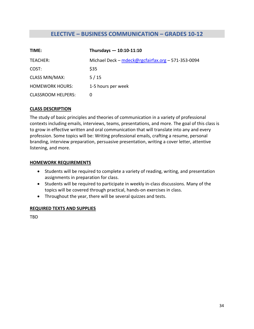# **ELECTIVE – BUSINESS COMMUNICATION – GRADES 10-12**

<span id="page-33-0"></span>

| TIME:                     | Thursdays $- 10:10 - 11:10$                        |
|---------------------------|----------------------------------------------------|
| TEACHER:                  | Michael Deck - mdeck@rgcfairfax.org - 571-353-0094 |
| COST:                     | \$35                                               |
| <b>CLASS MIN/MAX:</b>     | 5/15                                               |
| <b>HOMEWORK HOURS:</b>    | 1-5 hours per week                                 |
| <b>CLASSROOM HELPERS:</b> |                                                    |

#### **CLASS DESCRIPTION**

The study of basic principles and theories of communication in a variety of professional contexts including emails, interviews, teams, presentations, and more. The goal of this class is to grow in effective written and oral communication that will translate into any and every profession. Some topics will be: Writing professional emails, crafting a resume, personal branding, interview preparation, persuasive presentation, writing a cover letter, attentive listening, and more.

#### **HOMEWORK REQUIREMENTS**

- Students will be required to complete a variety of reading, writing, and presentation assignments in preparation for class.
- Students will be required to participate in weekly in-class discussions. Many of the topics will be covered through practical, hands-on exercises in class.
- Throughout the year, there will be several quizzes and tests.

### **REQUIRED TEXTS AND SUPPLIES**

TBD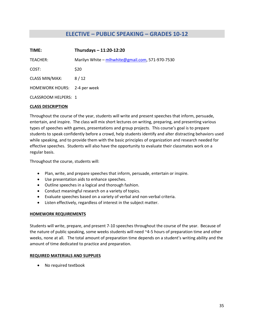# **ELECTIVE – PUBLIC SPEAKING – GRADES 10-12**

<span id="page-34-0"></span>

| TIME:                        | Thursdays - 11:20-12:20                          |
|------------------------------|--------------------------------------------------|
| TEACHER:                     | Marilyn White - mlhwhite@gmail.com, 571-970-7530 |
| COST:                        | \$20                                             |
| <b>CLASS MIN/MAX:</b>        | 8/12                                             |
| HOMEWORK HOURS: 2-4 per week |                                                  |
| CLASSROOM HELPERS: 1         |                                                  |

#### **CLASS DESCRIPTION**

Throughout the course of the year, students will write and present speeches that inform, persuade, entertain, and inspire. The class will mix short lectures on writing, preparing, and presenting various types of speeches with games, presentations and group projects. This course's goal is to prepare students to speak confidently before a crowd, help students identify and alter distracting behaviors used while speaking, and to provide them with the basic principles of organization and research needed for effective speeches. Students will also have the opportunity to evaluate their classmates work on a regular basis.

Throughout the course, students will:

- Plan, write, and prepare speeches that inform, persuade, entertain or inspire.
- Use presentation aids to enhance speeches.
- Outline speeches in a logical and thorough fashion.
- Conduct meaningful research on a variety of topics.
- Evaluate speeches based on a variety of verbal and non-verbal criteria.
- Listen effectively, regardless of interest in the subject matter.

#### **HOMEWORK REQUIREMENTS**

Students will write, prepare, and present 7-10 speeches throughout the course of the year. Because of the nature of public speaking, some weeks students will need ~4-5 hours of preparation time and other weeks, none at all. The total amount of preparation time depends on a student's writing ability and the amount of time dedicated to practice and preparation.

#### **REQUIRED MATERIALS AND SUPPLIES**

• No required textbook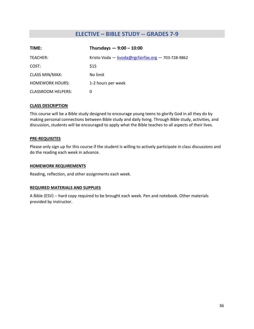# **ELECTIVE – BIBLE STUDY -- GRADES 7-9**

<span id="page-35-0"></span>

| TIME:                     | Thursdays $-9:00 - 10:00$                           |
|---------------------------|-----------------------------------------------------|
| TEACHER:                  | Kristo Voda — $kvoda@rgcfairfax.org - 703-728-9862$ |
| COST:                     | \$15                                                |
| <b>CLASS MIN/MAX:</b>     | No limit                                            |
| <b>HOMEWORK HOURS:</b>    | 1-2 hours per week                                  |
| <b>CLASSROOM HELPERS:</b> | 0                                                   |

#### **CLASS DESCRIPTION**

This course will be a Bible study designed to encourage young teens to glorify God in all they do by making personal connections between Bible study and daily living. Through Bible study, activities, and discussion, students will be encouraged to apply what the Bible teaches to all aspects of their lives.

#### **PRE-REQUISITES**

Please only sign up for this course if the student is willing to actively participate in class discussions and do the reading each week in advance.

#### **HOMEWORK REQUIREMENTS**

Reading, reflection, and other assignments each week.

#### **REQUIRED MATERIALS AND SUPPLIES**

A Bible (ESV) -- hard copy required to be brought each week. Pen and notebook. Other materials provided by instructor.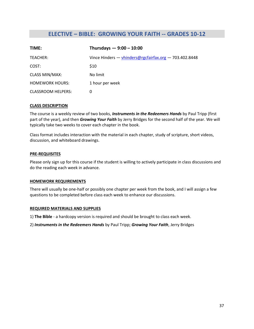# **ELECTIVE – BIBLE: GROWING YOUR FAITH -- GRADES 10-12**

<span id="page-36-0"></span>

| TIME:                     | Thursdays $-9:00 - 10:00$                                  |
|---------------------------|------------------------------------------------------------|
| TEACHER:                  | Vince Hinders $-$ vhinders@rgcfairfax.org $-$ 703.402.8448 |
| COST:                     | \$10                                                       |
| <b>CLASS MIN/MAX:</b>     | No limit                                                   |
| <b>HOMEWORK HOURS:</b>    | 1 hour per week                                            |
| <b>CLASSROOM HELPERS:</b> | 0                                                          |

#### **CLASS DESCRIPTION**

The course is a weekly review of two books, *Instruments in the Redeemers Hands* by Paul Tripp (first part of the year), and then *Growing Your Faith* by Jerry Bridges for the second half of the year. We will typically take two weeks to cover each chapter in the book.

Class format includes interaction with the material in each chapter, study of scripture, short videos, discussion, and whiteboard drawings.

#### **PRE-REQUISITES**

Please only sign up for this course if the student is willing to actively participate in class discussions and do the reading each week in advance.

#### **HOMEWORK REQUIREMENTS**

There will usually be one-half or possibly one chapter per week from the book, and I will assign a few questions to be completed before class each week to enhance our discussions.

#### **REQUIRED MATERIALS AND SUPPLIES**

1) **The Bible** - a hardcopy version is required and should be brought to class each week.

2) *Instruments in the Redeemers Hands* by Paul Tripp; *Growing Your Faith*, Jerry Bridges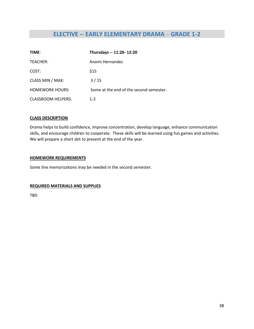# **ELECTIVE -- EARLY ELEMENTARY DRAMA** – **GRADE 1-2**

<span id="page-37-0"></span>

| TIME:                     | Thursdays -- 11:20- 12:20               |
|---------------------------|-----------------------------------------|
| TEACHER:                  | Anomi Hernandez                         |
| COST:                     | \$15                                    |
| CLASS MIN / MAX:          | 3/15                                    |
| <b>HOMEWORK HOURS:</b>    | Some at the end of the second semester. |
| <b>CLASSROOM HELPERS:</b> | $1 - 2$                                 |

#### **CLASS DESCRIPTION**

Drama helps to build confidence, improve concentration, develop language, enhance communication skills, and encourage children to cooperate. These skills will be learned using fun games and activities. We will prepare a short skit to present at the end of the year.

#### **HOMEWORK REQUIREMENTS**

Some line memorizations may be needed in the second semester.

#### **REQUIRED MATERIALS AND SUPPLIES**

TBD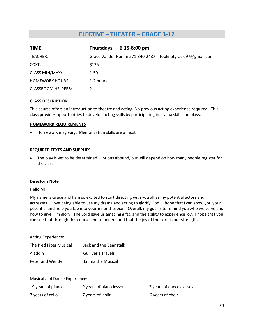# **ELECTIVE – THEATER – GRADE 3-12**

<span id="page-38-0"></span>

| TIME:                     | Thursdays $-6:15-8:00$ pm                                  |
|---------------------------|------------------------------------------------------------|
| TEACHER:                  | Grace Vander Hamm 571-340-2487 - topknotgracie97@gmail.com |
| COST:                     | \$125                                                      |
| CLASS MIN/MAX:            | 1-50                                                       |
| <b>HOMEWORK HOURS:</b>    | 1-2 hours                                                  |
| <b>CLASSROOM HELPERS:</b> |                                                            |

#### **CLASS DESCRIPTION**

This course offers an introduction to theatre and acting. No previous acting experience required. This class provides opportunities to develop acting skills by participating in drama skits and plays.

#### **HOMEWORK REQUIREMENTS**

• Homework may vary. Memorization skills are a must.

#### **REQUIRED TEXTS AND SUPPLIES**

• The play is yet to be determined. Options abound, but will depend on how many people register for the class.

#### **Director's Note**

Hello All!

My name is Grace and I am so excited to start directing with you all as my potential actors and actresses. I love being able to use my drama and acting to glorify God. I hope that I can show you your potential and help you tap into your inner thespian. Overall, my goal is to remind you who we serve and how to give Him glory. The Lord gave us amazing gifts, and the ability to experience joy. I hope that you can see that through this course and to understand that the joy of the Lord is our strength.

Acting Experience:

| The Pied Piper Musical | Jack and the Beanstalk  |
|------------------------|-------------------------|
| Aladdin                | Gulliver's Travels      |
| Peter and Wendy        | <b>Emma the Musical</b> |

#### Musical and Dance Experience:

| 19 years of piano | 9 years of piano lessons | 2 years of dance classes |
|-------------------|--------------------------|--------------------------|
| 7 years of cello  | 7 years of violin        | 6 years of choir         |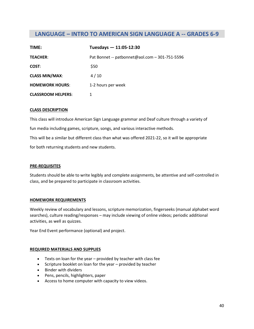# <span id="page-39-0"></span>**LANGUAGE – INTRO TO AMERICAN SIGN LANGUAGE A -- GRADES 6-9**

| TIME:                     | Tuesdays $-11:05-12:30$                        |
|---------------------------|------------------------------------------------|
| <b>TEACHER:</b>           | Pat Bonnet -- patbonnet@aol.com - 301-751-5596 |
| COST:                     | \$50                                           |
| <b>CLASS MIN/MAX:</b>     | 4/10                                           |
| <b>HOMEWORK HOURS:</b>    | 1-2 hours per week                             |
| <b>CLASSROOM HELPERS:</b> |                                                |

#### **CLASS DESCRIPTION**

This class will introduce American Sign Language grammar and Deaf culture through a variety of

fun media including games, scripture, songs, and various interactive methods.

This will be a similar but different class than what was offered 2021-22, so it will be appropriate

for both returning students and new students.

#### **PRE-REQUISITES**

Students should be able to write legibly and complete assignments, be attentive and self-controlled in class, and be prepared to participate in classroom activities.

#### **HOMEWORK REQUIREMENTS**

Weekly review of vocabulary and lessons, scripture memorization, fingerseeks (manual alphabet word searches), culture reading/responses – may include viewing of online videos; periodic additional activities, as well as quizzes.

Year End Event performance (optional) and project.

#### **REQUIRED MATERIALS AND SUPPLIES**

- Texts on loan for the year provided by teacher with class fee
- Scripture booklet on loan for the year provided by teacher
- Binder with dividers
- Pens, pencils, highlighters, paper
- Access to home computer with capacity to view videos.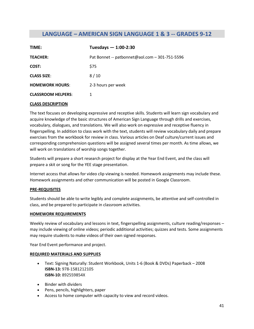# <span id="page-40-0"></span>**LANGUAGE – AMERICAN SIGN LANGUAGE 1 & 3 -- GRADES 9-12**

| TIME:                     | Tuesdays $- 1:00 - 2:30$                       |
|---------------------------|------------------------------------------------|
| <b>TEACHER:</b>           | Pat Bonnet -- patbonnet@aol.com - 301-751-5596 |
| COST:                     | \$75                                           |
| <b>CLASS SIZE:</b>        | 8/10                                           |
| <b>HOMEWORK HOURS:</b>    | 2-3 hours per week                             |
| <b>CLASSROOM HELPERS:</b> |                                                |

#### **CLASS DESCRIPTION**

The text focuses on developing expressive and receptive skills. Students will learn sign vocabulary and acquire knowledge of the basic structures of American Sign Language through drills and exercises, vocabulary, dialogues, and translations. We will also work on expressive and receptive fluency in fingerspelling. In addition to class work with the text, students will review vocabulary daily and prepare exercises from the workbook for review in class. Various articles on Deaf culture/current issues and corresponding comprehension questions will be assigned several times per month. As time allows, we will work on translations of worship songs together.

Students will prepare a short research project for display at the Year End Event, and the class will prepare a skit or song for the YEE stage presentation.

Internet access that allows for video clip viewing is needed. Homework assignments may include these. Homework assignments and other communication will be posted in Google Classroom.

#### **PRE-REQUISITES**

Students should be able to write legibly and complete assignments, be attentive and self-controlled in class, and be prepared to participate in classroom activities.

#### **HOMEWORK REQUIREMENTS**

Weekly review of vocabulary and lessons in text, fingerspelling assignments, culture reading/responses may include viewing of online videos; periodic additional activities; quizzes and tests. Some assignments may require students to make videos of their own signed responses.

Year End Event performance and project.

#### **REQUIRED MATERIALS AND SUPPLIES**

- Text: Signing Naturally: Student Workbook, Units 1-6 (Book & DVDs) Paperback 2008 **ISBN-13:** 978-1581212105 **ISBN-10:** 892559854X
- Binder with dividers
- Pens, pencils, highlighters, paper
- Access to home computer with capacity to view and record videos.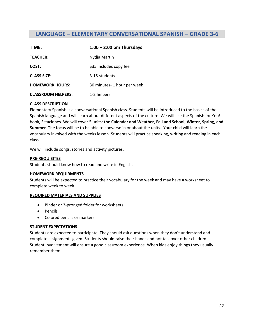# <span id="page-41-0"></span>**LANGUAGE – ELEMENTARY CONVERSATIONAL SPANISH – GRADE 3-6**

| TIME:                     | $1:00 - 2:00$ pm Thursdays |
|---------------------------|----------------------------|
| <b>TEACHER:</b>           | Nydia Martin               |
| COST:                     | \$35 includes copy fee     |
| <b>CLASS SIZE:</b>        | 3-15 students              |
| <b>HOMEWORK HOURS:</b>    | 30 minutes-1 hour per week |
| <b>CLASSROOM HELPERS:</b> | 1-2 helpers                |

#### **CLASS DESCRIPTION**

Elementary Spanish is a conversational Spanish class. Students will be introduced to the basics of the Spanish language and will learn about different aspects of the culture. We will use the Spanish for You! book, Estaciones. We will cover 5 units: **the Calendar and Weather, Fall and School, Winter, Spring, and Summer**. The focus will be to be able to converse in or about the units. Your child will learn the vocabulary involved with the weeks lesson. Students will practice speaking, writing and reading in each class.

We will include songs, stories and activity pictures.

#### **PRE-REQUISITES**

Students should know how to read and write in English.

#### **HOMEWORK REQUIRMENTS**

Students will be expected to practice their vocabulary for the week and may have a worksheet to complete week to week.

#### **REQUIRED MATERIALS AND SUPPLIES**

- Binder or 3-pronged folder for worksheets
- Pencils
- Colored pencils or markers

#### **STUDENT EXPECTATIONS**

Students are expected to participate. They should ask questions when they don't understand and complete assignments given. Students should raise their hands and not talk over other children. Student involvement will ensure a good classroom experience. When kids enjoy things they usually remember them.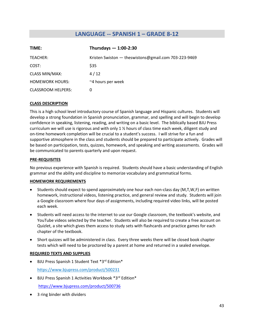# **LANGUAGE -- SPANISH 1 – GRADE 8-12**

<span id="page-42-0"></span>

| TIME:                     | Thursdays $- 1:00-2:30$                              |
|---------------------------|------------------------------------------------------|
| TEACHER:                  | Kristen Swiston — theswistons@gmail.com 703-223-9469 |
| COST:                     | \$35                                                 |
| <b>CLASS MIN/MAX:</b>     | 4/12                                                 |
| <b>HOMEWORK HOURS:</b>    | ~4 hours per week                                    |
| <b>CLASSROOM HELPERS:</b> |                                                      |

#### **CLASS DESCRIPTION**

This is a high school level introductory course of Spanish language and Hispanic cultures. Students will develop a strong foundation in Spanish pronunciation, grammar, and spelling and will begin to develop confidence in speaking, listening, reading, and writing on a basic level. The biblically based BJU Press curriculum we will use is rigorous and with only 1 ½ hours of class time each week, diligent study and on-time homework completion will be crucial to a student's success. I will strive for a fun and supportive atmosphere in the class and students should be prepared to participate actively. Grades will be based on participation, tests, quizzes, homework, and speaking and writing assessments. Grades will be communicated to parents quarterly and upon request.

#### **PRE-REQUISITES**

No previous experience with Spanish is required. Students should have a basic understanding of English grammar and the ability and discipline to memorize vocabulary and grammatical forms.

#### **HOMEWORK REQUIREMENTS**

- Students should expect to spend approximately one hour each non-class day (M,T,W,F) on written homework, instructional videos, listening practice, and general review and study. Students will join a Google classroom where four days of assignments, including required video links, will be posted each week.
- Students will need access to the internet to use our Google classroom, the textbook's website, and YouTube videos selected by the teacher. Students will also be required to create a free account on Quizlet, a site which gives them access to study sets with flashcards and practice games for each chapter of the textbook.
- Short quizzes will be administered in class. Every three weeks there will be closed book chapter tests which will need to be proctored by a parent at home and returned in a sealed envelope.

- BJU Press Spanish 1 Student Text \*3rd Edition\* <https://www.bjupress.com/product/500231>
- BJU Press Spanish 1 Activities Workbook \*3rd Edition\* <https://www.bjupress.com/product/500736>
- 3 ring binder with dividers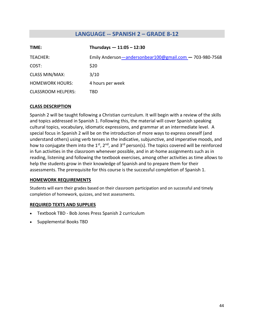# **LANGUAGE -- SPANISH 2 – GRADE 8-12**

<span id="page-43-0"></span>

| TIME:                     | Thursdays $-11:05 - 12:30$                              |
|---------------------------|---------------------------------------------------------|
| TEACHER:                  | Emily Anderson—andersonbear100@gmail.com — 703-980-7568 |
| COST:                     | \$20                                                    |
| <b>CLASS MIN/MAX:</b>     | 3/10                                                    |
| <b>HOMEWORK HOURS:</b>    | 4 hours per week                                        |
| <b>CLASSROOM HELPERS:</b> | TBD                                                     |

### **CLASS DESCRIPTION**

Spanish 2 will be taught following a Christian curriculum. It will begin with a review of the skills and topics addressed in Spanish 1. Following this, the material will cover Spanish speaking cultural topics, vocabulary, idiomatic expressions, and grammar at an intermediate level. A special focus in Spanish 2 will be on the introduction of more ways to express oneself (and understand others) using verb tenses in the indicative, subjunctive, and imperative moods, and how to conjugate them into the  $1^{st}$ ,  $2^{nd}$ , and  $3^{rd}$  person(s). The topics covered will be reinforced in fun activities in the classroom whenever possible, and in at-home assignments such as in reading, listening and following the textbook exercises, among other activities as time allows to help the students grow in their knowledge of Spanish and to prepare them for their assessments. The prerequisite for this course is the successful completion of Spanish 1.

### **HOMEWORK REQUIREMENTS**

Students will earn their grades based on their classroom participation and on successful and timely completion of homework, quizzes, and test assessments.

- Textbook TBD Bob Jones Press Spanish 2 curriculum
- Supplemental Books TBD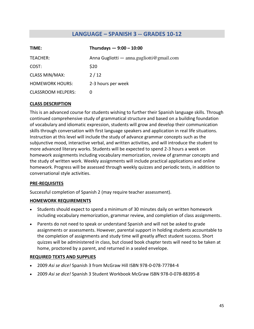# **LANGUAGE – SPANISH 3 -- GRADES 10-12**

<span id="page-44-0"></span>

| TIME:                     | Thursdays $-9:00 - 10:00$                 |
|---------------------------|-------------------------------------------|
| TEACHER:                  | Anna Gugliotti — anna.gugliotti@gmail.com |
| COST:                     | \$20                                      |
| <b>CLASS MIN/MAX:</b>     | 2/12                                      |
| <b>HOMEWORK HOURS:</b>    | 2-3 hours per week                        |
| <b>CLASSROOM HELPERS:</b> | 0                                         |

# **CLASS DESCRIPTION**

This is an advanced course for students wishing to further their Spanish language skills. Through continued comprehensive study of grammatical structure and based on a building foundation of vocabulary and idiomatic expression, students will grow and develop their communication skills through conversation with first language speakers and application in real life situations. Instruction at this level will include the study of advance grammar concepts such as the subjunctive mood, interactive verbal, and written activities, and will introduce the student to more advanced literary works. Students will be expected to spend 2-3 hours a week on homework assignments including vocabulary memorization, review of grammar concepts and the study of written work. Weekly assignments will include practical applications and online homework. Progress will be assessed through weekly quizzes and periodic tests, in addition to conversational style activities.

### **PRE-REQUISITES**

Successful completion of Spanish 2 (may require teacher assessment).

### **HOMEWORK REQUIREMENTS**

- Students should expect to spend a minimum of 30 minutes daily on written homework including vocabulary memorization, grammar review, and completion of class assignments.
- Parents do not need to speak or understand Spanish and will not be asked to grade assignments or assessments. However, parental support in holding students accountable to the completion of assignments and study time will greatly affect student success. Short quizzes will be administered in class, but closed book chapter tests will need to be taken at home, proctored by a parent, and returned in a sealed envelope.

- 2009 *Asi se dice!* Spanish 3 from McGraw Hill ISBN 978-0-078-77784-4
- 2009 *Asi se dice!* Spanish 3 Student Workbook McGraw ISBN 978-0-078-88395-8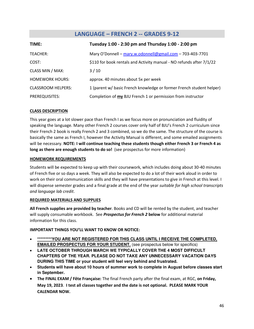# **LANGUAGE – FRENCH 2 -- GRADES 9-12**

<span id="page-45-0"></span>

| TIME:                     | Tuesday 1:00 - 2:30 pm and Thursday 1:00 - 2:00 pm                   |
|---------------------------|----------------------------------------------------------------------|
| TEACHER:                  | Mary O'Donnell - mary.w.odonnell@gmail.com - 703-403-7701            |
| COST:                     | \$110 for book rentals and Activity manual - NO refunds after 7/1/22 |
| CLASS MIN / MAX:          | 3/10                                                                 |
| <b>HOMEWORK HOURS:</b>    | approx. 40 minutes about 5x per week                                 |
| <b>CLASSROOM HELPERS:</b> | 1 (parent w/ basic French knowledge or former French student helper) |
| PREREQUISITES:            | Completion of my BJU French 1 or permission from instructor          |

#### **CLASS DESCRIPTION**

This year goes at a lot slower pace than French I as we focus more on pronunciation and fluidity of speaking the language. Many other French 2 courses cover only half of BJU's French 2 curriculum since their French 2 book is really French 2 and 3 combined, so we do the same. The structure of the course is basically the same as French I, however the Activity Manual is different, and some emailed assignments will be necessary. **NOTE: I will continue teaching these students though either French 3 or French 4 as long as there are enough students to do so!** (see prospectus for more information)

#### **HOMEWORK REQUIREMENTS**

Students will be expected to keep up with their coursework, which includes doing about 30-40 minutes of French five or so days a week. They will also be expected to do a lot of their work aloud in order to work on their oral communication skills and they will have presentations to give in French at this level. I will dispense semester grades and a final grade at the end of the year *suitable for high school transcripts and language lab credit*.

#### **REQUIRED MATERIALS AND SUPPLIES**

**All French supplies are provided by teacher**. Books and CD will be rented by the student, and teacher will supply consumable workbook. See *Prospectus for French 2* **below** for additional material information for this class.

#### **IMPORTANT THINGS YOU'LL WANT TO KNOW OR NOTICE:**

- **\*\*\*\*\*\*\*\*\*YOU ARE NOT REGISTERED FOR THIS CLASS UNTIL I RECEIVE THE COMPLETED, EMAILED PROSPECTUS FOR YOUR STUDENT.** (see prospectus below for specifics)
- **LATE OCTOBER THROUGH MARCH WE TYPICALLY COVER THE 4 MOST DIFFICULT CHAPTERS OF THE YEAR. PLEASE DO NOT TAKE ANY UNNECESSARY VACATION DAYS DURING THIS TIME or your student will feel very behind and frustrated.**
- **Students will have about 10 hours of summer work to complete in August before classes start in September.**
- **The FINAL EXAM / Fête Française:** The final French party after the final exam, at RGC, **on Friday, May 19, 2023**. **I test all classes together and the date is not optional. PLEASE MARK YOUR CALENDAR NOW.**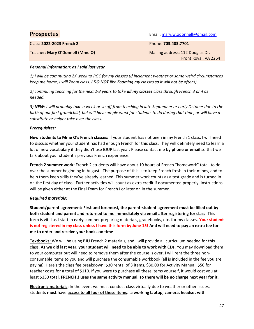| <b>Prospectus</b>               | Email: mary.w.odonnell@gmail.com                         |
|---------------------------------|----------------------------------------------------------|
| Class: 2022-2023 French 2       | Phone: 703.403.7701                                      |
| Teacher: Mary O'Donnell (Mme O) | Mailing address: 112 Douglas Dr.<br>Front Royal, VA 2264 |

#### *Personal information: as I said last year*

*1) I will be commuting 2X week to RGC for my classes (If inclement weather or some weird circumstances keep me home, I will Zoom class. I DO NOT like Zooming my classes so it will not be often!)* 

*2) continuing teaching for the next 2-3 years to take all my classes class through French 3 or 4 as needed.* 

*3) NEW: I will probably take a week or so off from teaching in late September or early October due to the birth of our first grandchild, but will have ample work for students to do during that time, or will have a substitute or helper take over the class.* 

#### *Prerequisites:*

**New students to Mme O's French classes:** If your student has not been in my French 1 class, I will need to discuss whether your student has had enough French for this class. They will definitely need to learn a lot of new vocabulary if they didn't use BJUP last year. Please contact me **by phone or email** so that we talk about your student's previous French experience.

**French 2 summer work:** French 2 students will have about 10 hours of French "homework" total, to do over the summer beginning in August. The purpose of this is to keep French fresh in their minds, and to help them keep skills they've already learned. This summer work counts as a test grade and is turned in on the first day of class. Further activities will count as extra credit if documented properly. Instructions will be given either at the Final Exam for French I or later on in the summer.

#### *Required materials:*

**Student/parent agreement: First and foremost, the parent-student agreement must be filled out by both student and parent and returned to me immediately via email after registering for class.** This form is vital as I start in **early** summer preparing materials, gradebooks, etc. for my classes. **Your student is not registered in my class unless I have this form by June 15! And will need to pay an extra fee for me to order and receive your books on time!** 

**Textbooks:** We will be using BJU French 2 materials, and I will provide all curriculum needed for this class. **As we did last year, your student will need to be able to work with CDs.** You may download them to your computer but will need to remove them after the course is over**.** I will rent the three nonconsumable items to you and will purchase the consumable workbook (all is included in the fee you are paying). Here's the class fee breakdown: \$30 rental of 3 items, \$30.00 for Activity Manual, \$50 for teacher costs for a total of \$110. If you were to purchase all these items yourself, it would cost you at least \$350 total. **FRENCH 3 uses the same activity manual, so there will be no charge next year for it.** 

**Electronic materials:** In the event we must conduct class virtually due to weather or other issues, students **must** have **access to all four of these items**: **a working laptop, camera, headset with**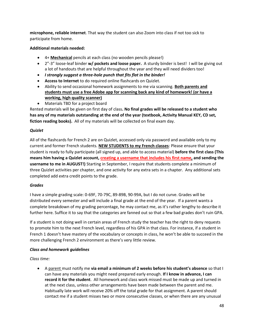**microphone, reliable internet**. That way the student can also Zoom into class if not too sick to participate from home.

### **Additional materials needed:**

- 4+ **Mechanical** pencils at each class (no wooden pencils please!)
- 2"-3" loose-leaf binder **w/ pockets and loose paper.** A sturdy binder is best! I will be giving out a lot of handouts that are helpful throughout the year and they will need dividers too!
- *I strongly suggest a three-hole punch that fits flat in the binder!*
- **Access to Internet** to do required online flashcards on Quizlet.
- Ability to send occasional homework assignments to me via scanning. **Both parents and students must use a free Adobe app for scanning back any kind of homework! (or have a working, high quality scanner)**
- Materials TBD for a project board

Rented materials will be given on first day of class**. No final grades will be released to a student who has any of my materials outstanding at the end of the year (textbook, Activity Manual KEY, CD set, fiction reading books).** All of my materials will be collected on final exam day.

#### *Quizlet*

All of the flashcards for French 2 are on Quizlet, accessed only via password and available only to my current and former French students. **NEW STUDENTS to my French classes**: Please ensure that your student is ready to fully participate (all signed up, and able to access material) **before the first class (This means him having a Quizlet account, creating a username that includes his first name, and sending the username to me in AUGUST!)** Starting in September, I require that students complete a minimum of three Quizlet activities per chapter, and one activity for any extra sets in a chapter. Any additional sets completed add extra credit points to the grade.

#### *Grades*

I have a simple grading scale: 0-69F, 70-79C, 89-89B, 90-99A, but I do not curve. Grades will be distributed every semester and will include a final grade at the end of the year. If a parent wants a complete breakdown of my grading percentage, he may contact me, as it's rather lengthy to describe it further here. Suffice it to say that the categories are fanned out so that a few bad grades don't ruin GPA.

If a student is not doing well in certain areas of French study the teacher has the right to deny requests to promote him to the next French level, regardless of his GPA in that class. For instance, if a student in French 1 doesn't have mastery of the vocabulary or concepts in class, he won't be able to succeed in the more challenging French 2 environment as there's very little review.

#### *Class and homework guidelines*

*Class time:* 

• A parent must notify me **via email a minimum of 2 weeks before his student's absence** so that I can have any materials you might need prepared early enough. **If I know in advance, I can record it for the student**. All homework and class work missed must be made up and turned in at the next class, unless other arrangements have been made between the parent and me. Habitually late work will receive 20% off the total grade for that assignment. A parent should contact me if a student misses two or more consecutive classes, or when there are any unusual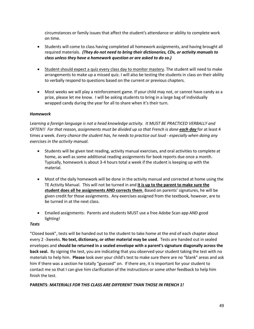circumstances or family issues that affect the student's attendance or ability to complete work on time.

- Students will come to class having completed all homework assignments, and having brought all required materials. *(They do not need to bring their dictionaries, CDs, or activity manuals to class unless they have a homework question or are asked to do so.)*
- Student should expect a quiz every class day to monitor mastery. The student will need to make arrangements to make up a missed quiz. I will also be testing the students in class on their ability to verbally respond to questions based on the current or previous chapters.
- Most weeks we will play a reinforcement game. If your child may not, or cannot have candy as a prize, please let me know. I will be asking students to bring in a large bag of individually wrapped candy during the year for all to share when it's their turn.

#### *Homework*

*Learning a foreign language is not a head knowledge activity. It MUST BE PRACTICED VERBALLY and OFTEN!! For that reason, assignments must be divided up so that French is done each day for at least 4* times a week*. Every chance the student has, he needs to practice out loud - especially when doing any exercises in the activity manual.* 

- Students will be given text reading, activity manual exercises, and oral activities to complete at home, as well as some additional reading assignments for book reports due once a month. Typically, homework is about 3-4 hours total a week if the student is keeping up with the material.
- Most of the daily homework will be done in the activity manual and corrected at home using the TE Activity Manual. This will not be turned in and **it is up to the parent to make sure the student does all he assignments AND corrects them**. Based on parents' signatures, he will be given credit for those assignments. Any exercises assigned from the textbook, however, are to be turned in at the next class.
- Emailed assignments: Parents and students MUST use a free Adobe Scan app AND good lighting!

#### *Tests*

"Closed book", tests will be handed out to the student to take home at the end of each chapter about every 2 -3weeks. **No text, dictionary, or other material may be used**. Tests are handed out in sealed envelopes and **should be returned in a sealed envelope with a parent's signature diagonally across the back seal.** By signing the test, you are indicating that you observed your student taking the test with no materials to help him. **Please** look over your child's test to make sure there are no "blank" areas and ask him if there was a section he totally "guessed" on. If there are, it is important for your student to contact me so that I can give him clarification of the instructions or some other feedback to help him finish the test.

#### **PARENTS**: *MATERIALS FOR THIS CLASS ARE DIFFERENT THAN THOSE IN FRENCH 1!*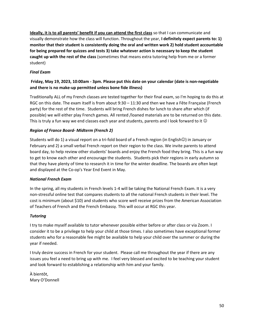**Ideally, it is to all parents' benefit if you can attend the first class** so that I can communicate and visually demonstrate how the class will function. Throughout the year, **I definitely expect parents to: 1) monitor that their student is consistently doing the oral and written work 2) hold student accountable for being prepared for quizzes and tests 3) take whatever action is necessary to keep the student caught up with the rest of the class** (sometimes that means extra tutoring help from me or a former student)

### *Final Exam*

# **Friday, May 19, 2023, 10:00am - 3pm. Please put this date on your calendar (date is non-negotiable and there is no make-up permitted unless bone fide illness)**

Traditionally ALL of my French classes are tested together for their final exam, so I'm hoping to do this at RGC on this date. The exam itself is from about 9:30 – 11:30 and then we have a Fête Française (French party) for the rest of the time. Students will bring French dishes for lunch to share after which (if possible) we will either play French games. All rented /loaned materials are to be returned on this date. This is truly a fun way we end classes each year and students, parents and I look forward to it  $\odot$ 

# *Region of France Board- Midterm (French 2)*

Students will do 1) a visual report on a tri-fold board of a French region (in English☺) in January or February and 2) a small verbal French report on their region to the class. We invite parents to attend board day, to help review other students' boards and enjoy the French food they bring. This is a fun way to get to know each other and encourage the students. Students pick their regions in early autumn so that they have plenty of time to research it in time for the winter deadline. The boards are often kept and displayed at the Co-op's Year End Event in May.

### *National French Exam*

In the spring, all my students in French levels 1-4 will be taking the National French Exam. It is a very non-stressful online test that compares students to all the national French students in their level. The cost is minimum (about \$10) and students who score well receive prizes from the American Association of Teachers of French and the French Embassy. This will occur at RGC this year.

### *Tutoring*

I try to make myself available to tutor whenever possible either before or after class or via Zoom. I consider it to be a privilege to help your child at those times. I also sometimes have exceptional former students who for a reasonable fee might be available to help your child over the summer or during the year if needed.

I truly desire success in French for your student. Please call me throughout the year if there are any issues you feel a need to bring up with me. I feel very blessed and excited to be teaching your student and look forward to establishing a relationship with him and your family.

À bientôt, Mary O'Donnell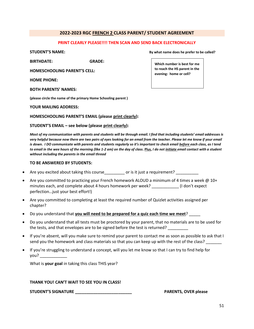### **2022-2023 RGC FRENCH 2 CLASS PARENT/ STUDENT AGREEMENT**

#### **PRINT CLEARLY PLEASE!!!! THEN SCAN AND SEND BACK ELECTRONICALLY**

**STUDENT'S NAME: By what name does he prefer to be called?** 

**BIRTHDATE: GRADE:** 

**HOMESCHOOLING PARENT'S CELL:** 

**HOME PHONE:** 

**BOTH PARENTS' NAMES:** 

**(please circle the name of the primary Home Schooling parent )** 

**YOUR MAILING ADDRESS:**

**HOMESCHOOLING PARENT'S EMAIL (please print clearly):** 

**STUDENT'S EMAIL – see below (please print clearly):**

*Most of my communication with parents and students will be through email. I find that including students' email addresses is very helpful because now there are two pairs of eyes looking for an email from the teacher. Please let me know if your email*  is down. I DO communicate with parents and students regularly so it's important to check email *before each class, as I tend to email in the wee hours of the morning (like 1-2 am) on the day of class***. Plus,** *I do not initiate email contact with a student without including the parents in the email thread* 

#### **TO BE ANSWERED BY STUDENTS:**

- Are you excited about taking this course equity or is it just a requirement?
- Are you committed to practicing your French homework ALOUD a minimum of 4 times a week @ 10+ minutes each, and complete about 4 hours homework per week? \_\_\_\_\_\_\_\_\_\_\_\_ (I don't expect perfection…just your best effort!)
- Are you committed to completing at least the required number of Quizlet activities assigned per chapter?
- Do you understand that **you will need to be prepared for a quiz each time we meet**? \_\_\_\_\_
- Do you understand that all tests must be proctored by your parent, that no materials are to be used for the tests, and that envelopes are to be signed before the test is returned?
- If you're absent, will you make sure to remind your parent to contact me as soon as possible to ask that I send you the homework and class materials so that you can keep up with the rest of the class?
- If you're struggling to understand a concept, will you let me know so that I can try to find help for you? \_\_\_\_\_\_\_\_\_\_\_\_

What is **your goal** in taking this class THIS year?

#### **THANK YOU! CAN'T WAIT TO SEE YOU IN CLASS!**

**STUDENT'S SIGNATURE \_\_\_\_\_\_\_\_\_\_\_\_\_\_\_\_\_\_\_\_\_\_\_\_\_ PARENTS, OVER please** 

**Which number is best for me to reach the HS parent in the evening: home or cell?**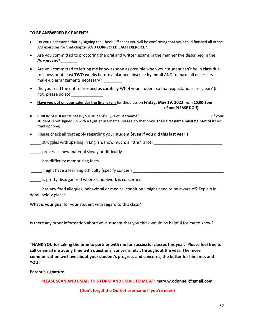#### **TO BE ANSWERED BY PARENTS:**

- Do you understand that by signing the Check Off sheet you will be confirming that your child finished all of the AM exercises for that chapter **AND CORRECTED EACH EXERCICE**? \_\_\_\_\_
- Are you committed to proctoring the oral and written exams in the manner I've described in the *Prospectus*? \_\_\_\_\_\_\_
- Are you committed to letting me know as soon as possible when your student can't be in class due to illness or at least **TWO weeks** before a planned absence **by email** AND to make all necessary make-up arrangements necessary?
- Did you read the entire prospectus carefully WITH your student so that expectations are clear? (if not, please do so) \_\_\_\_\_\_\_\_\_\_\_\_\_\_
- **Have you put on your calendar the final exam** for this class on **Friday, May 19, 2023 from 10:00-3pm (if not PLEASE DO!!)**
- **IF NEW STUDENT:** What is your student's Quizlet username? \_\_\_\_\_\_\_\_\_\_\_\_\_\_\_\_\_\_\_\_\_\_\_\_\_\_\_\_\_\_\_\_\_\_ (If your student is not signed up with a Quizlet username, please do that now! **Their first name must be part of it!** ex: frankophone)
- Please check all that apply regarding your student **(even if you did this last year!)**

struggles with spelling in English. (how much: a little? a lot?

processes new material slowly or difficultly

has difficulty memorizing facts

might have a learning difficulty (specify concern  $\Box$ 

\_\_\_\_\_ is pretty disorganized where schoolwork is concerned

has any food allergies, behavioral or medical condition I might need to be aware of? Explain in detail below please.

What is **your goal** for your student with regard to this class?

Is there any other information about your student that you think would be helpful for me to know?

**THANK YOU for taking the time to partner with me for successful classes this year. Please feel free to call or email me at any time with questions, concerns, etc., throughout the year. The more communication we have about your student's progress and concerns, the better for him, me, and YOU!** 

**Parent's signature \_\_\_\_\_\_\_\_\_\_\_\_\_\_\_\_\_\_\_\_\_\_\_\_\_\_\_\_\_** 

**PLEASE SCAN AND EMAIL THIS FORM AND EMAIL TO ME AT: mary.w.odonnell@gmail.com** 

 **(Don't forget the Quizlet username if you're new!)**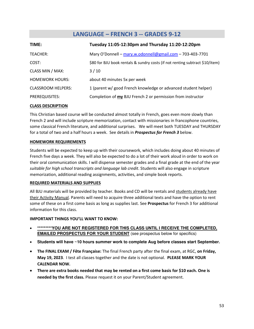# **LANGUAGE – FRENCH 3 -- GRADES 9-12**

<span id="page-52-0"></span>

| TIME:                     | Tuesday 11:05-12:30pm and Thursday 11:20-12:20pm                             |
|---------------------------|------------------------------------------------------------------------------|
| TEACHER:                  | Mary O'Donnell - mary.w.odonnell@gmail.com - 703-403-7701                    |
| COST:                     | \$80 for BJU book rentals & sundry costs (if not renting subtract \$10/item) |
| CLASS MIN / MAX:          | 3/10                                                                         |
| <b>HOMEWORK HOURS:</b>    | about 40 minutes 5x per week                                                 |
| <b>CLASSROOM HELPERS:</b> | 1 (parent w/ good French knowledge or advanced student helper)               |
| PREREQUISITES:            | Completion of my BJU French 2 or permission from instructor                  |

#### **CLASS DESCRIPTION**

This Christian based course will be conducted almost totally in French, goes even more slowly than French 2 and will include scripture memorization, contact with missionaries in francophone countries, some classical French literature, and additional surprises. We will meet both TUESDAY and THURSDAY for a total of two and a half hours a week. See details in *Prospectus for French 3* below.

#### **HOMEWORK REQUIREMENTS**

Students will be expected to keep up with their coursework, which includes doing about 40 minutes of French five days a week. They will also be expected to do a lot of their work aloud in order to work on their oral communication skills. I will dispense semester grades and a final grade at the end of the year *suitable for high school transcripts and language lab credit*. Students will also engage in scripture memorization, additional reading assignments, activities, and simple book reports.

#### **REQUIRED MATERIALS AND SUPPLIES**

All BJU materials will be provided by teacher. Books and CD will be rentals and students already have their Activity Manual. Parents will need to acquire three additional texts and have the option to rent some of these on a first come basis as long as supplies last. See **Prospectus** for French 3 for additional information for this class.

#### **IMPORTANT THINGS YOU'LL WANT TO KNOW:**

- **\*\*\*\*\*\*\*\*\*YOU ARE NOT REGISTERED FOR THIS CLASS UNTIL I RECEIVE THE COMPLETED, EMAILED PROSPECTUS FOR YOUR STUDENT** (see prospectus below for specifics)
- **Students will have ~10 hours summer work to complete Aug before classes start September.**
- **The FINAL EXAM / Fête Française:** The final French party after the final exam, at RGC, **on Friday, May 19, 2023**. I test all classes together and the date is not optional. **PLEASE MARK YOUR CALENDAR NOW.**
- **There are extra books needed that may be rented on a first come basis for \$10 each. One is needed by the first class.** Please request it on your Parent/Student agreement.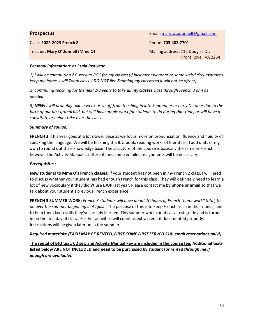| <b>Prospectus</b>                | Email: mary.w.odonnell@gmail.com                         |
|----------------------------------|----------------------------------------------------------|
| <b>Class: 2022-2023 French 2</b> | Phone: 703.403.7701                                      |
| Teacher: Mary O'Donnell (Mme O)  | Mailing address: 112 Douglas Dr.<br>Front Royal, VA 2264 |

#### *Personal information: as I said last year*

*1) I will be commuting 2X week to RGC for my classes (If inclement weather or some weird circumstances keep me home, I will Zoom class. I DO NOT like Zooming my classes so it will not be often!)* 

*2) continuing teaching for the next 2-3 years to take all my classes class through French 3 or 4 as needed.* 

*3) NEW: I will probably take a week or so off from teaching in late September or early October due to the birth of our first grandchild, but will have ample work for students to do during that time, or will have a substitute or helper take over the class.* 

#### *Summary of course:*

**FRENCH 3:** This year goes at a lot slower pace as we focus more on pronunciation, fluency and fluidity of speaking the language. We will be finishing the BJU book, reading works of literature, I add units of my own to round out their knowledge base. The structure of the course is basically the same as French I, however the Activity Manual is different, and some emailed assignments will be necessary.

#### *Prerequisites:*

**New students to Mme O's French classes:** If your student has not been in my French 2 class, I will need to discuss whether your student has had enough French for this class. They will definitely need to learn a lot of new vocabulary if they didn't use BJUP last year. Please contact me **by phone or email** so that we talk about your student's previous French experience.

**FRENCH 3 SUMMER WORK:** *French 3 students will have about 10 hours of French "homework" total, to do over the summer beginning in August.* The purpose of this is to keep French fresh in their minds, and to help them keep skills they've already learned. This summer work counts as a test grade and is turned in on the first day of class. Further activities will count as extra credit if documented properly. Instructions will be given later on in the summer.

#### *Required materials: (EACH MAY BE RENTED, FIRST COME FIRST SERVED \$10- email reservations only!)*

**The rental of BJU text, CD set, and Activity Manual key are included in the course fee. Additional texts listed below ARE NOT INCLUDED and need to be purchased by student (***or rented through me if enough are available):*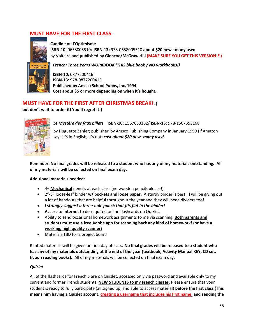# **MUST HAVE FOR THE FIRST CLASS:**



**Candide ou l'Optimisme ISBN-10:** 0658005510/ **ISBN-13:** 978-0658005510 **about \$20 new –many used**  by Voltaire **and published by Glencoe/McGraw Hill (MAKE SURE YOU GET THIS VERSION!!!)** 



*French: Three Years WORKBOOK (THIS blue book / NO workbooks!)*

**ISBN-10:** 0877200416 **ISBN-13:** 978-0877200413 **Published by Amsco School Pubns, Inc, 1994 Cost about \$5 or more depending on when it's bought.** 

# **MUST HAVE FOR THE FIRST AFTER CHRISTMAS BREAK!: (**

**but don't wait to order it! You'll regret it!)**



*Le Mystère des faux billets* **ISBN-10:** 1567653162/ **ISBN-13:** 978-1567653168

by Huguette Zahler; published by Amsco Publishing Company in January 1999 (if Amazon says it's in English, it's not) *cost about \$20 new- many used.*

**Reminder: No final grades will be released to a student who has any of my materials outstanding. All of my materials will be collected on final exam day.** 

### **Additional materials needed:**

- 4+ **Mechanical** pencils at each class (no wooden pencils please!)
- 2"-3" loose-leaf binder **w/ pockets and loose paper.** A sturdy binder is best! I will be giving out a lot of handouts that are helpful throughout the year and they will need dividers too!
- *I strongly suggest a three-hole punch that fits flat in the binder!*
- **Access to Internet** to do required online flashcards on Quizlet.
- Ability to send occasional homework assignments to me via scanning. **Both parents and students must use a free Adobe app for scanning back any kind of homework! (or have a working, high quality scanner)**
- Materials TBD for a project board

Rented materials will be given on first day of class**. No final grades will be released to a student who has any of my materials outstanding at the end of the year (textbook, Activity Manual KEY, CD set, fiction reading books).** All of my materials will be collected on final exam day.

### *Quizlet*

All of the flashcards for French 3 are on Quizlet, accessed only via password and available only to my current and former French students. **NEW STUDENTS to my French classes**: Please ensure that your student is ready to fully participate (all signed up, and able to access material) **before the first class (This means him having a Quizlet account, creating a username that includes his first name, and sending the**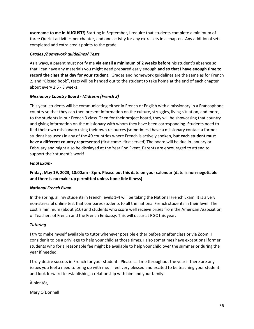**username to me in AUGUST!)** Starting in September, I require that students complete a minimum of three Quizlet activities per chapter, and one activity for any extra sets in a chapter. Any additional sets completed add extra credit points to the grade.

### *Grades /homework guidelines/ Tests*

As always, a parent must notify me **via email a minimum of 2 weeks before** his student's absence so that I can have any materials you might need prepared early enough **and so that I have enough time to record the class that day for your student**. Grades and homework guidelines are the same as for French 2, and "Closed book", tests will be handed out to the student to take home at the end of each chapter about every 2.5 - 3 weeks.

# *Missionary Country Board - Midterm (French 3)*

This year, students will be communicating either in French or English with a missionary in a Francophone country so that they can then present information on the culture, struggles, living situation, and more, to the students in our French 3 class. Then for their project board, they will be showcasing that country and giving information on the missionary with whom they have been corresponding. Students need to find their own missionary using their own resources (sometimes I have a missionary contact a former student has used) in any of the 40 countries where French is actively spoken, **but each student must have a different country represented** (first come- first served) The board will be due in January or February and might also be displayed at the Year End Event. Parents are encouraged to attend to support their student's work!

### *Final Exam-*

**Friday, May 19, 2023, 10:00am - 3pm. Please put this date on your calendar (date is non-negotiable and there is no make-up permitted unless bone fide illness)**

### *National French Exam*

In the spring, all my students in French levels 1-4 will be taking the National French Exam. It is a very non-stressful online test that compares students to all the national French students in their level. The cost is minimum (about \$10) and students who score well receive prizes from the American Association of Teachers of French and the French Embassy. This will occur at RGC this year.

### *Tutoring*

I try to make myself available to tutor whenever possible either before or after class or via Zoom. I consider it to be a privilege to help your child at those times. I also sometimes have exceptional former students who for a reasonable fee might be available to help your child over the summer or during the year if needed.

I truly desire success in French for your student. Please call me throughout the year if there are any issues you feel a need to bring up with me. I feel very blessed and excited to be teaching your student and look forward to establishing a relationship with him and your family.

À bientôt,

Mary O'Donnell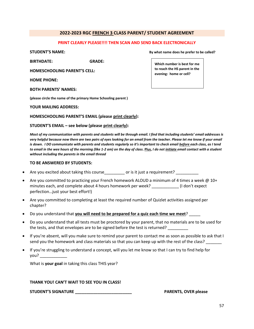### **2022-2023 RGC FRENCH 3 CLASS PARENT/ STUDENT AGREEMENT**

#### **PRINT CLEARLY PLEASE!!!! THEN SCAN AND SEND BACK ELECTRONICALLY**

**STUDENT'S NAME: By what name does he prefer to be called?** 

**BIRTHDATE: GRADE:** 

**HOMESCHOOLING PARENT'S CELL:** 

**HOME PHONE:** 

**BOTH PARENTS' NAMES:** 

**(please circle the name of the primary Home Schooling parent )** 

**YOUR MAILING ADDRESS:**

**HOMESCHOOLING PARENT'S EMAIL (please print clearly):** 

#### **STUDENT'S EMAIL – see below (please print clearly):**

*Most of my communication with parents and students will be through email. I find that including students' email addresses is very helpful because now there are two pairs of eyes looking for an email from the teacher. Please let me know if your email*  is down. I DO communicate with parents and students regularly so it's important to check email **before each class, as I tend** *to email in the wee hours of the morning (like 1-2 am) on the day of class***. Plus,** *I do not initiate email contact with a student without including the parents in the email thread* 

#### **TO BE ANSWERED BY STUDENTS:**

- Are you excited about taking this course equirement?
- Are you committed to practicing your French homework ALOUD a minimum of 4 times a week @ 10+ minutes each, and complete about 4 hours homework per week? \_\_\_\_\_\_\_\_\_\_\_\_ (I don't expect perfection…just your best effort!)
- Are you committed to completing at least the required number of Quizlet activities assigned per chapter?
- Do you understand that **you will need to be prepared for a quiz each time we meet**? \_\_\_\_\_
- Do you understand that all tests must be proctored by your parent, that no materials are to be used for the tests, and that envelopes are to be signed before the test is returned?
- If you're absent, will you make sure to remind your parent to contact me as soon as possible to ask that I send you the homework and class materials so that you can keep up with the rest of the class?
- If you're struggling to understand a concept, will you let me know so that I can try to find help for you? \_\_\_\_\_\_\_\_\_\_\_\_

What is **your goal** in taking this class THIS year?

#### **THANK YOU! CAN'T WAIT TO SEE YOU IN CLASS!**

**STUDENT'S SIGNATURE \_\_\_\_\_\_\_\_\_\_\_\_\_\_\_\_\_\_\_\_\_\_\_\_\_ PARENTS, OVER please** 

**Which number is best for me to reach the HS parent in the evening: home or cell?**